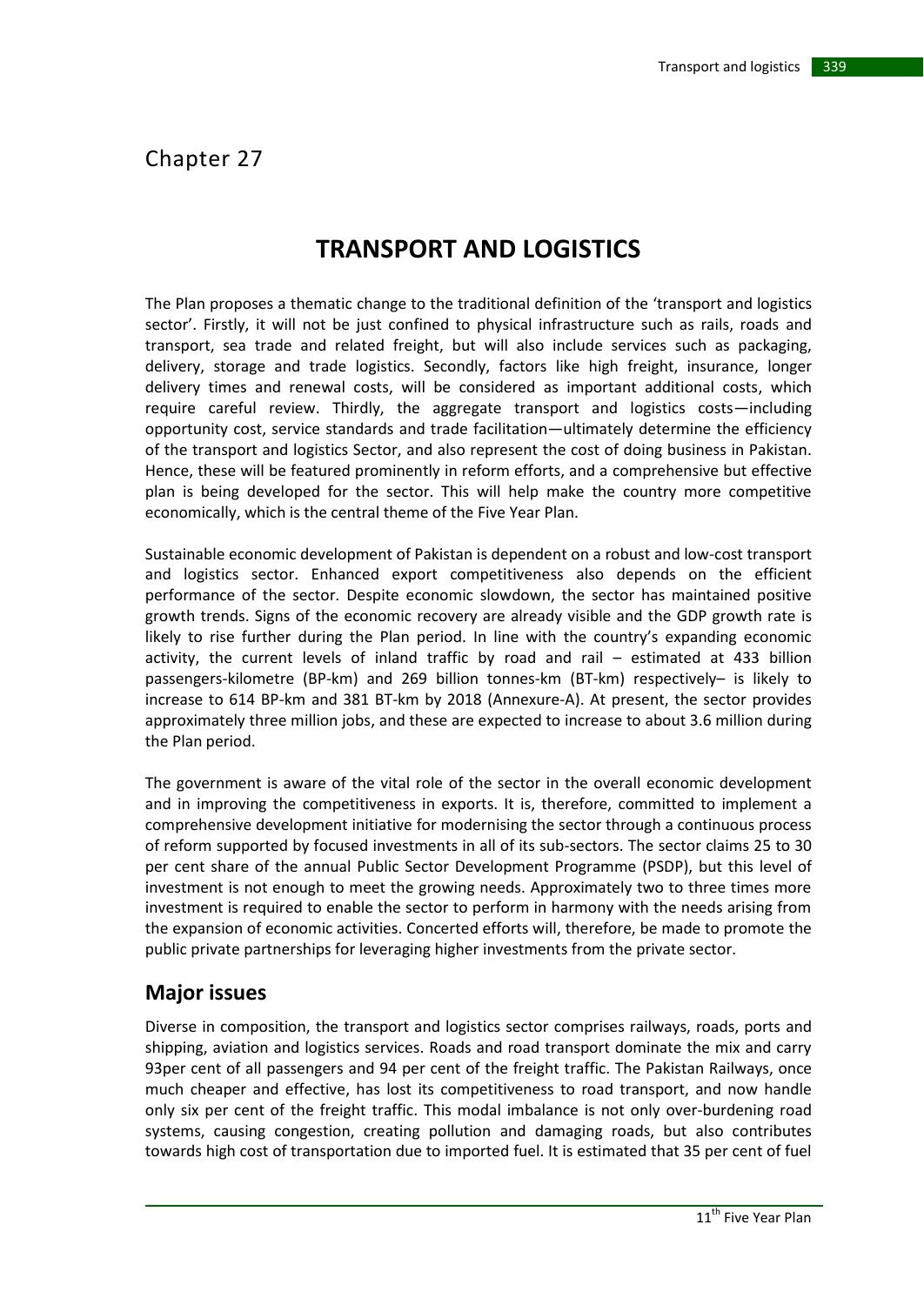# Chapter 27

# **TRANSPORT AND LOGISTICS**

The Plan proposes a thematic change to the traditional definition of the 'transport and logistics sector'. Firstly, it will not be just confined to physical infrastructure such as rails, roads and transport, sea trade and related freight, but will also include services such as packaging, delivery, storage and trade logistics. Secondly, factors like high freight, insurance, longer delivery times and renewal costs, will be considered as important additional costs, which require careful review. Thirdly, the aggregate transport and logistics costs—including opportunity cost, service standards and trade facilitation—ultimately determine the efficiency of the transport and logistics Sector, and also represent the cost of doing business in Pakistan. Hence, these will be featured prominently in reform efforts, and a comprehensive but effective plan is being developed for the sector. This will help make the country more competitive economically, which is the central theme of the Five Year Plan.

Sustainable economic development of Pakistan is dependent on a robust and low-cost transport and logistics sector. Enhanced export competitiveness also depends on the efficient performance of the sector. Despite economic slowdown, the sector has maintained positive growth trends. Signs of the economic recovery are already visible and the GDP growth rate is likely to rise further during the Plan period. In line with the country's expanding economic activity, the current levels of inland traffic by road and rail – estimated at 433 billion passengers-kilometre (BP-km) and 269 billion tonnes-km (BT-km) respectively– is likely to increase to 614 BP-km and 381 BT-km by 2018 (Annexure-A). At present, the sector provides approximately three million jobs, and these are expected to increase to about 3.6 million during the Plan period.

The government is aware of the vital role of the sector in the overall economic development and in improving the competitiveness in exports. It is, therefore, committed to implement a comprehensive development initiative for modernising the sector through a continuous process of reform supported by focused investments in all of its sub-sectors. The sector claims 25 to 30 per cent share of the annual Public Sector Development Programme (PSDP), but this level of investment is not enough to meet the growing needs. Approximately two to three times more investment is required to enable the sector to perform in harmony with the needs arising from the expansion of economic activities. Concerted efforts will, therefore, be made to promote the public private partnerships for leveraging higher investments from the private sector.

# **Major issues**

Diverse in composition, the transport and logistics sector comprises railways, roads, ports and shipping, aviation and logistics services. Roads and road transport dominate the mix and carry 93per cent of all passengers and 94 per cent of the freight traffic. The Pakistan Railways, once much cheaper and effective, has lost its competitiveness to road transport, and now handle only six per cent of the freight traffic. This modal imbalance is not only over-burdening road systems, causing congestion, creating pollution and damaging roads, but also contributes towards high cost of transportation due to imported fuel. It is estimated that 35 per cent of fuel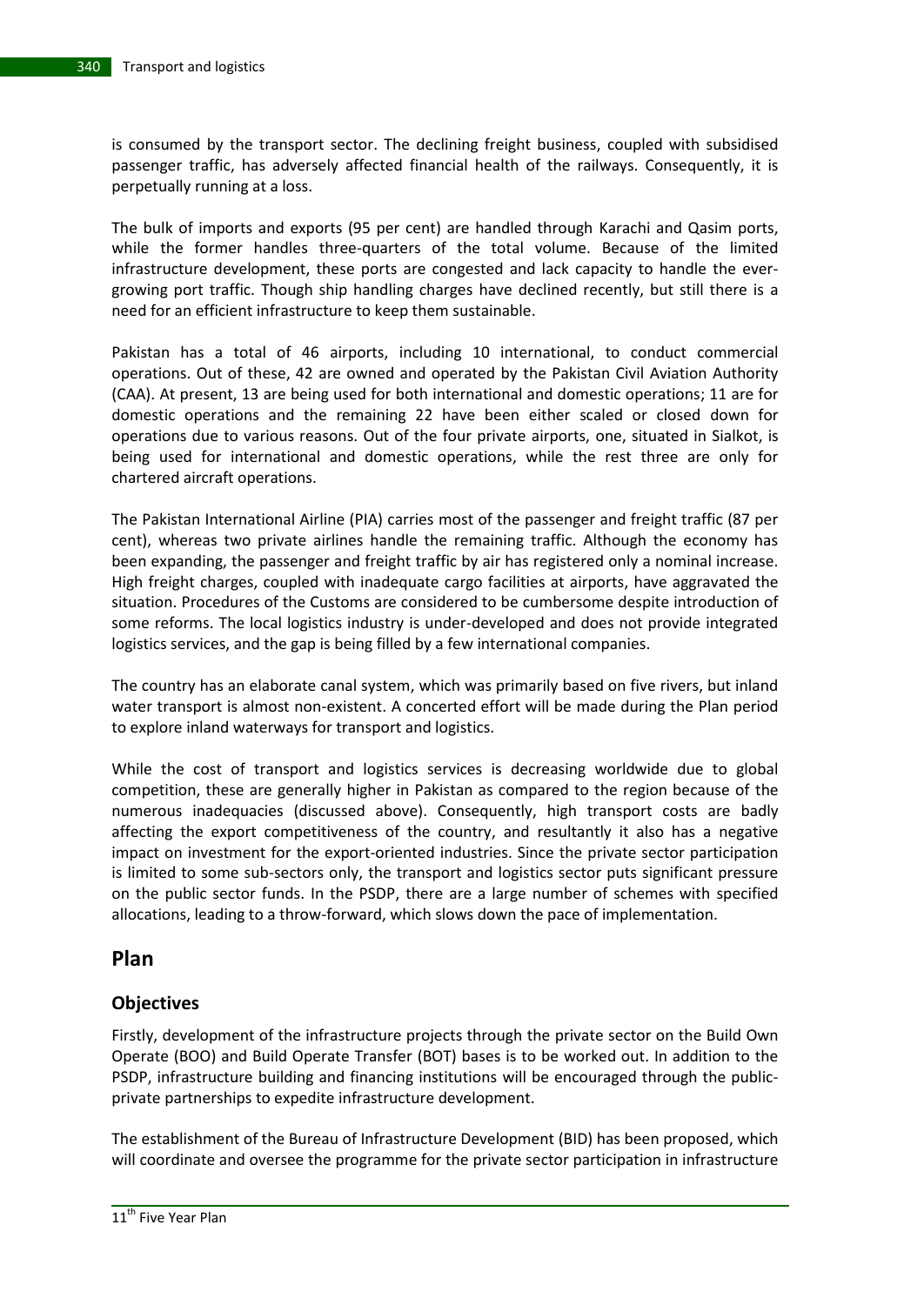is consumed by the transport sector. The declining freight business, coupled with subsidised passenger traffic, has adversely affected financial health of the railways. Consequently, it is perpetually running at a loss.

The bulk of imports and exports (95 per cent) are handled through Karachi and Qasim ports, while the former handles three-quarters of the total volume. Because of the limited infrastructure development, these ports are congested and lack capacity to handle the evergrowing port traffic. Though ship handling charges have declined recently, but still there is a need for an efficient infrastructure to keep them sustainable.

Pakistan has a total of 46 airports, including 10 international, to conduct commercial operations. Out of these, 42 are owned and operated by the Pakistan Civil Aviation Authority (CAA). At present, 13 are being used for both international and domestic operations; 11 are for domestic operations and the remaining 22 have been either scaled or closed down for operations due to various reasons. Out of the four private airports, one, situated in Sialkot, is being used for international and domestic operations, while the rest three are only for chartered aircraft operations.

The Pakistan International Airline (PIA) carries most of the passenger and freight traffic (87 per cent), whereas two private airlines handle the remaining traffic. Although the economy has been expanding, the passenger and freight traffic by air has registered only a nominal increase. High freight charges, coupled with inadequate cargo facilities at airports, have aggravated the situation. Procedures of the Customs are considered to be cumbersome despite introduction of some reforms. The local logistics industry is under-developed and does not provide integrated logistics services, and the gap is being filled by a few international companies.

The country has an elaborate canal system, which was primarily based on five rivers, but inland water transport is almost non-existent. A concerted effort will be made during the Plan period to explore inland waterways for transport and logistics.

While the cost of transport and logistics services is decreasing worldwide due to global competition, these are generally higher in Pakistan as compared to the region because of the numerous inadequacies (discussed above). Consequently, high transport costs are badly affecting the export competitiveness of the country, and resultantly it also has a negative impact on investment for the export-oriented industries. Since the private sector participation is limited to some sub-sectors only, the transport and logistics sector puts significant pressure on the public sector funds. In the PSDP, there are a large number of schemes with specified allocations, leading to a throw-forward, which slows down the pace of implementation.

# **Plan**

# **Objectives**

Firstly, development of the infrastructure projects through the private sector on the Build Own Operate (BOO) and Build Operate Transfer (BOT) bases is to be worked out. In addition to the PSDP, infrastructure building and financing institutions will be encouraged through the publicprivate partnerships to expedite infrastructure development.

The establishment of the Bureau of Infrastructure Development (BID) has been proposed, which will coordinate and oversee the programme for the private sector participation in infrastructure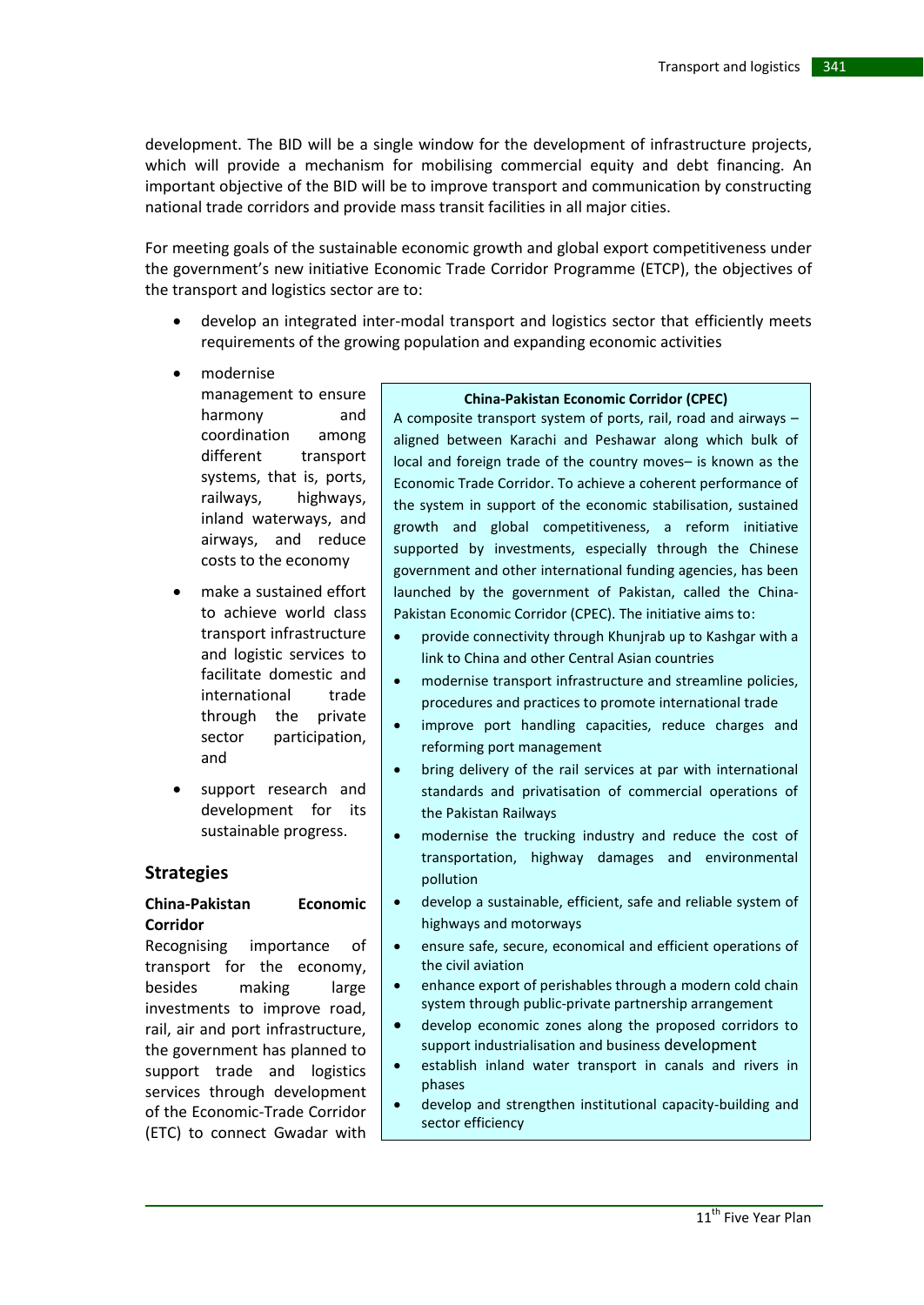development. The BID will be a single window for the development of infrastructure projects, which will provide a mechanism for mobilising commercial equity and debt financing. An important objective of the BID will be to improve transport and communication by constructing national trade corridors and provide mass transit facilities in all major cities.

For meeting goals of the sustainable economic growth and global export competitiveness under the government's new initiative Economic Trade Corridor Programme (ETCP), the objectives of the transport and logistics sector are to:

- develop an integrated inter-modal transport and logistics sector that efficiently meets requirements of the growing population and expanding economic activities
- modernise
	- management to ensure harmony and coordination among different transport systems, that is, ports, railways, highways, inland waterways, and airways, and reduce costs to the economy
- make a sustained effort to achieve world class transport infrastructure and logistic services to facilitate domestic and international trade through the private sector participation, and
- support research and development for its sustainable progress.

### **Strategies**

#### **China-Pakistan Economic Corridor**

Recognising importance of transport for the economy, besides making large investments to improve road, rail, air and port infrastructure, the government has planned to support trade and logistics services through development of the Economic-Trade Corridor (ETC) to connect Gwadar with

#### **China-Pakistan Economic Corridor (CPEC)**

A composite transport system of ports, rail, road and airways – aligned between Karachi and Peshawar along which bulk of local and foreign trade of the country moves– is known as the Economic Trade Corridor. To achieve a coherent performance of the system in support of the economic stabilisation, sustained growth and global competitiveness, a reform initiative supported by investments, especially through the Chinese government and other international funding agencies, has been launched by the government of Pakistan, called the China-Pakistan Economic Corridor (CPEC). The initiative aims to:

- provide connectivity through Khunjrab up to Kashgar with a link to China and other Central Asian countries
- modernise transport infrastructure and streamline policies, procedures and practices to promote international trade
- improve port handling capacities, reduce charges and reforming port management
- bring delivery of the rail services at par with international standards and privatisation of commercial operations of the Pakistan Railways
- modernise the trucking industry and reduce the cost of transportation, highway damages and environmental pollution
- develop a sustainable, efficient, safe and reliable system of highways and motorways
- ensure safe, secure, economical and efficient operations of the civil aviation
- enhance export of perishables through a modern cold chain system through public-private partnership arrangement
- develop economic zones along the proposed corridors to support industrialisation and business development
- establish inland water transport in canals and rivers in phases
- develop and strengthen institutional capacity-building and sector efficiency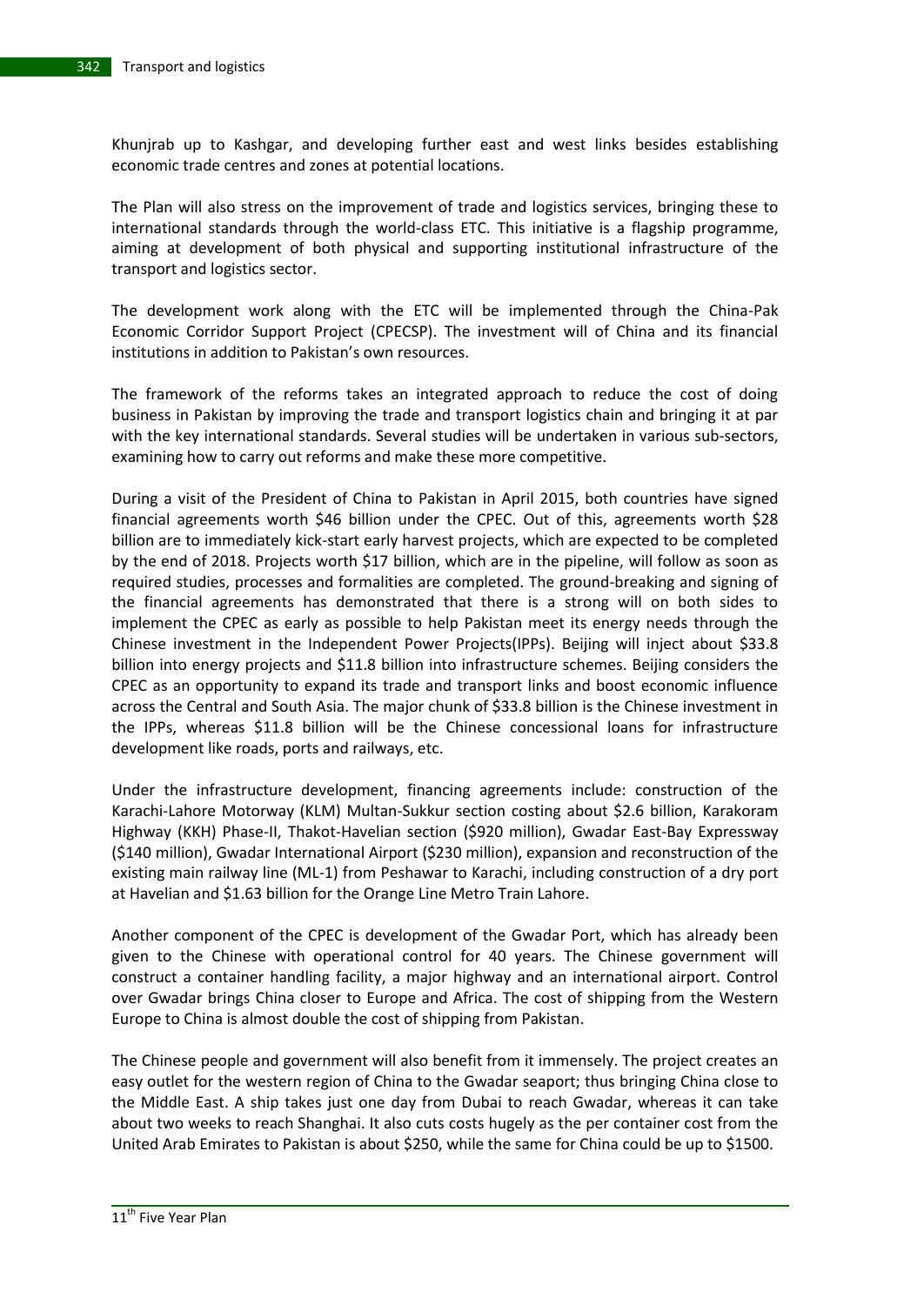Khunjrab up to Kashgar, and developing further east and west links besides establishing economic trade centres and zones at potential locations.

The Plan will also stress on the improvement of trade and logistics services, bringing these to international standards through the world-class ETC. This initiative is a flagship programme, aiming at development of both physical and supporting institutional infrastructure of the transport and logistics sector.

The development work along with the ETC will be implemented through the China-Pak Economic Corridor Support Project (CPECSP). The investment will of China and its financial institutions in addition to Pakistan's own resources.

The framework of the reforms takes an integrated approach to reduce the cost of doing business in Pakistan by improving the trade and transport logistics chain and bringing it at par with the key international standards. Several studies will be undertaken in various sub-sectors, examining how to carry out reforms and make these more competitive.

During a visit of the President of China to Pakistan in April 2015, both countries have signed financial agreements worth \$46 billion under the CPEC. Out of this, agreements worth \$28 billion are to immediately kick-start early harvest projects, which are expected to be completed by the end of 2018. Projects worth \$17 billion, which are in the pipeline, will follow as soon as required studies, processes and formalities are completed. The ground-breaking and signing of the financial agreements has demonstrated that there is a strong will on both sides to implement the CPEC as early as possible to help Pakistan meet its energy needs through the Chinese investment in the Independent Power Projects(IPPs). Beijing will inject about \$33.8 billion into energy projects and \$11.8 billion into infrastructure schemes. Beijing considers the CPEC as an opportunity to expand its trade and transport links and boost economic influence across the Central and South Asia. The major chunk of \$33.8 billion is the Chinese investment in the IPPs, whereas \$11.8 billion will be the Chinese concessional loans for infrastructure development like roads, ports and railways, etc.

Under the infrastructure development, financing agreements include: construction of the Karachi-Lahore Motorway (KLM) Multan-Sukkur section costing about \$2.6 billion, Karakoram Highway (KKH) Phase-II, Thakot-Havelian section (\$920 million), Gwadar East-Bay Expressway (\$140 million), Gwadar International Airport (\$230 million), expansion and reconstruction of the existing main railway line (ML-1) from Peshawar to Karachi, including construction of a dry port at Havelian and \$1.63 billion for the Orange Line Metro Train Lahore.

Another component of the CPEC is development of the Gwadar Port, which has already been given to the Chinese with operational control for 40 years. The Chinese government will construct a container handling facility, a major highway and an international airport. Control over Gwadar brings China closer to Europe and Africa. The cost of shipping from the Western Europe to China is almost double the cost of shipping from Pakistan.

The Chinese people and government will also benefit from it immensely. The project creates an easy outlet for the western region of China to the Gwadar seaport; thus bringing China close to the Middle East. A ship takes just one day from Dubai to reach Gwadar, whereas it can take about two weeks to reach Shanghai. It also cuts costs hugely as the per container cost from the United Arab Emirates to Pakistan is about \$250, while the same for China could be up to \$1500.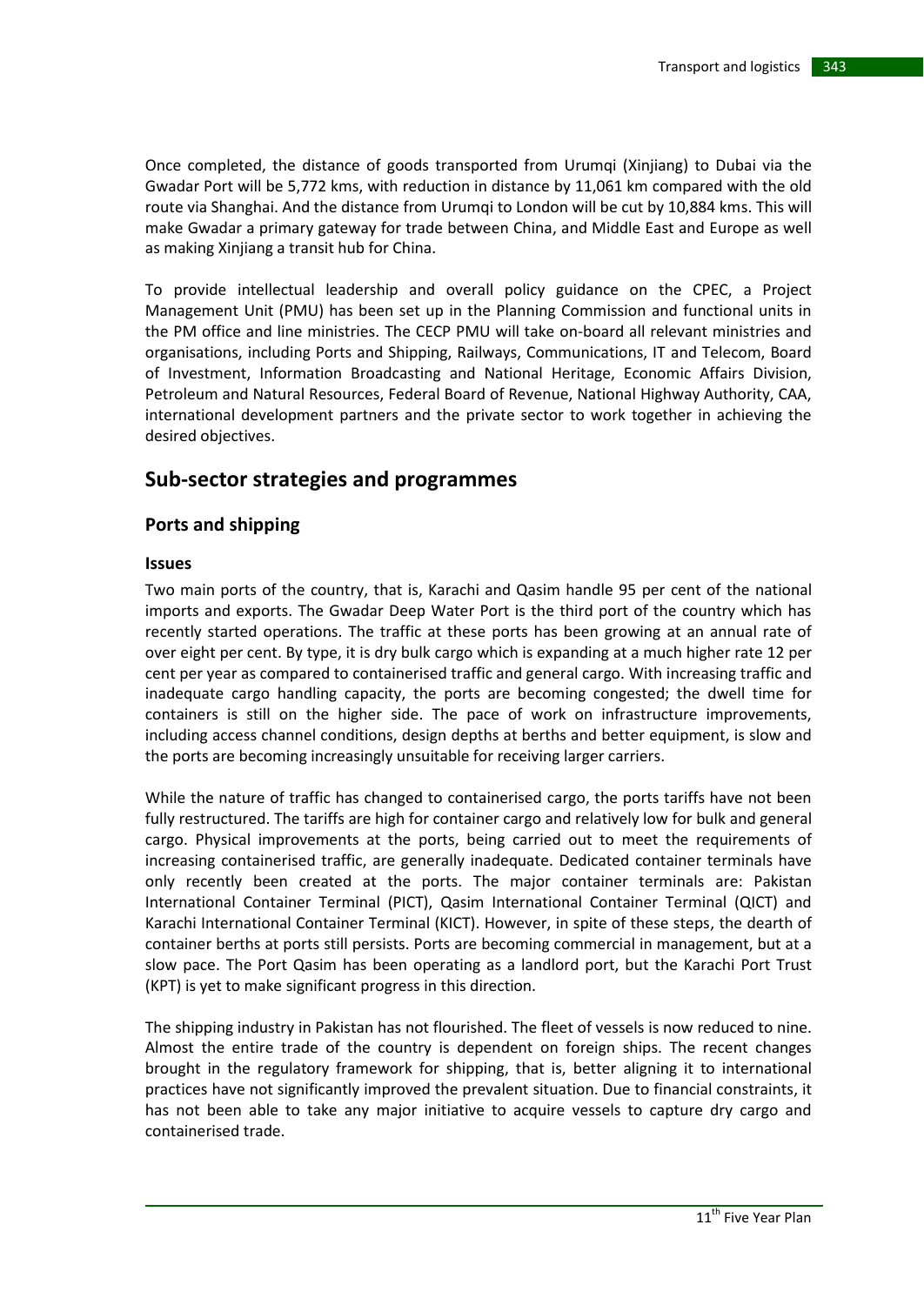Once completed, the distance of goods transported from Urumqi (Xinjiang) to Dubai via the Gwadar Port will be 5,772 kms, with reduction in distance by 11,061 km compared with the old route via Shanghai. And the distance from Urumqi to London will be cut by 10,884 kms. This will make Gwadar a primary gateway for trade between China, and Middle East and Europe as well as making Xinjiang a transit hub for China.

To provide intellectual leadership and overall policy guidance on the CPEC, a Project Management Unit (PMU) has been set up in the Planning Commission and functional units in the PM office and line ministries. The CECP PMU will take on-board all relevant ministries and organisations, including Ports and Shipping, Railways, Communications, IT and Telecom, Board of Investment, Information Broadcasting and National Heritage, Economic Affairs Division, Petroleum and Natural Resources, Federal Board of Revenue, National Highway Authority, CAA, international development partners and the private sector to work together in achieving the desired objectives.

# **Sub-sector strategies and programmes**

# **Ports and shipping**

#### **Issues**

Two main ports of the country, that is, Karachi and Qasim handle 95 per cent of the national imports and exports. The Gwadar Deep Water Port is the third port of the country which has recently started operations. The traffic at these ports has been growing at an annual rate of over eight per cent. By type, it is dry bulk cargo which is expanding at a much higher rate 12 per cent per year as compared to containerised traffic and general cargo. With increasing traffic and inadequate cargo handling capacity, the ports are becoming congested; the dwell time for containers is still on the higher side. The pace of work on infrastructure improvements, including access channel conditions, design depths at berths and better equipment, is slow and the ports are becoming increasingly unsuitable for receiving larger carriers.

While the nature of traffic has changed to containerised cargo, the ports tariffs have not been fully restructured. The tariffs are high for container cargo and relatively low for bulk and general cargo. Physical improvements at the ports, being carried out to meet the requirements of increasing containerised traffic, are generally inadequate. Dedicated container terminals have only recently been created at the ports. The major container terminals are: Pakistan International Container Terminal (PICT), Qasim International Container Terminal (QICT) and Karachi International Container Terminal (KICT). However, in spite of these steps, the dearth of container berths at ports still persists. Ports are becoming commercial in management, but at a slow pace. The Port Qasim has been operating as a landlord port, but the Karachi Port Trust (KPT) is yet to make significant progress in this direction.

The shipping industry in Pakistan has not flourished. The fleet of vessels is now reduced to nine. Almost the entire trade of the country is dependent on foreign ships. The recent changes brought in the regulatory framework for shipping, that is, better aligning it to international practices have not significantly improved the prevalent situation. Due to financial constraints, it has not been able to take any major initiative to acquire vessels to capture dry cargo and containerised trade.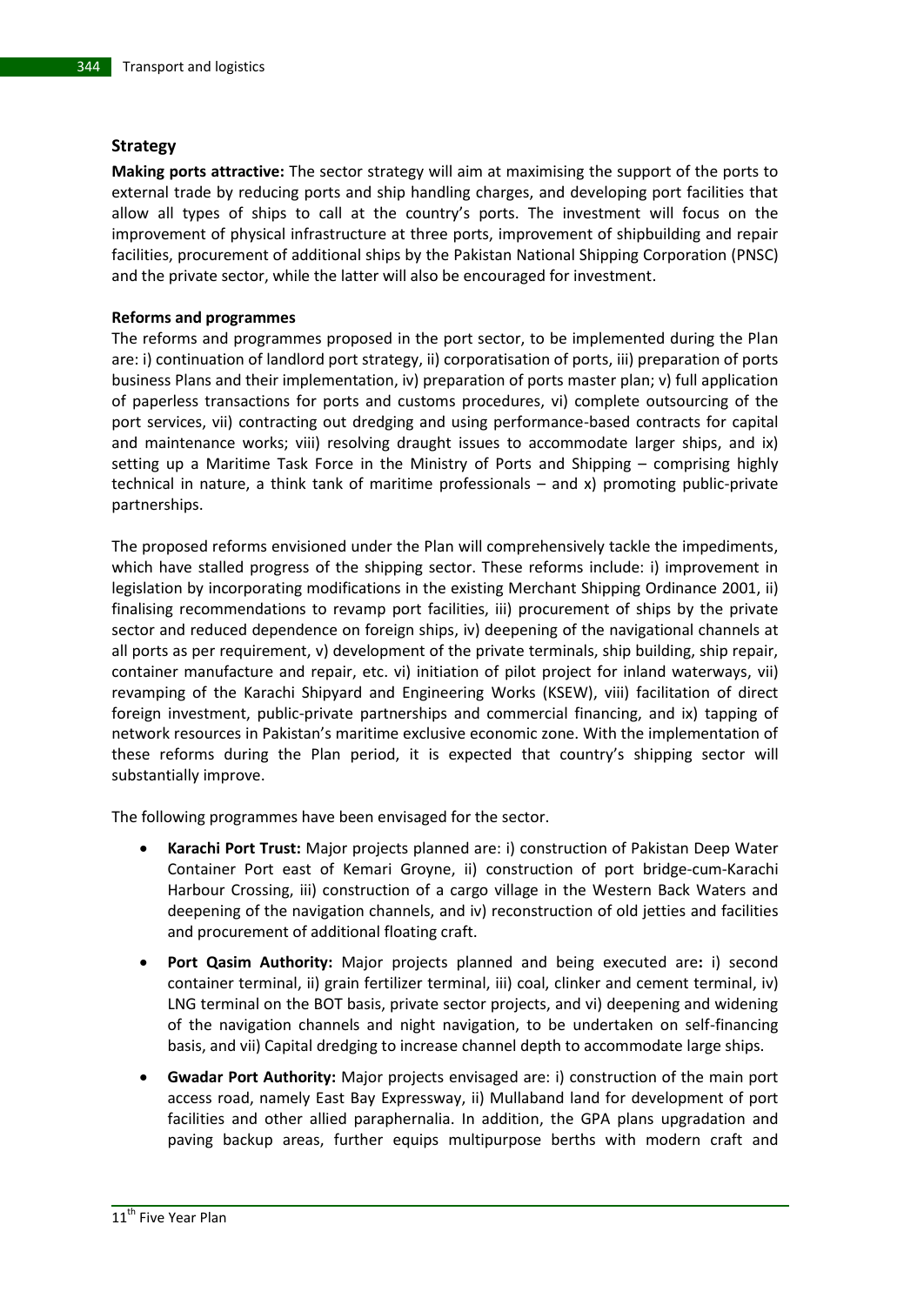#### **Strategy**

**Making ports attractive:** The sector strategy will aim at maximising the support of the ports to external trade by reducing ports and ship handling charges, and developing port facilities that allow all types of ships to call at the country's ports. The investment will focus on the improvement of physical infrastructure at three ports, improvement of shipbuilding and repair facilities, procurement of additional ships by the Pakistan National Shipping Corporation (PNSC) and the private sector, while the latter will also be encouraged for investment.

#### **Reforms and programmes**

The reforms and programmes proposed in the port sector, to be implemented during the Plan are: i) continuation of landlord port strategy, ii) corporatisation of ports, iii) preparation of ports business Plans and their implementation, iv) preparation of ports master plan; v) full application of paperless transactions for ports and customs procedures, vi) complete outsourcing of the port services, vii) contracting out dredging and using performance-based contracts for capital and maintenance works; viii) resolving draught issues to accommodate larger ships, and ix) setting up a Maritime Task Force in the Ministry of Ports and Shipping – comprising highly technical in nature, a think tank of maritime professionals – and x) promoting public-private partnerships.

The proposed reforms envisioned under the Plan will comprehensively tackle the impediments, which have stalled progress of the shipping sector. These reforms include: i) improvement in legislation by incorporating modifications in the existing Merchant Shipping Ordinance 2001, ii) finalising recommendations to revamp port facilities, iii) procurement of ships by the private sector and reduced dependence on foreign ships, iv) deepening of the navigational channels at all ports as per requirement, v) development of the private terminals, ship building, ship repair, container manufacture and repair, etc. vi) initiation of pilot project for inland waterways, vii) revamping of the Karachi Shipyard and Engineering Works (KSEW), viii) facilitation of direct foreign investment, public-private partnerships and commercial financing, and ix) tapping of network resources in Pakistan's maritime exclusive economic zone. With the implementation of these reforms during the Plan period, it is expected that country's shipping sector will substantially improve.

The following programmes have been envisaged for the sector.

- **Karachi Port Trust:** Major projects planned are: i) construction of Pakistan Deep Water Container Port east of Kemari Groyne, ii) construction of port bridge-cum-Karachi Harbour Crossing, iii) construction of a cargo village in the Western Back Waters and deepening of the navigation channels, and iv) reconstruction of old jetties and facilities and procurement of additional floating craft.
- **Port Qasim Authority:** Major projects planned and being executed are**:** i) second container terminal, ii) grain fertilizer terminal, iii) coal, clinker and cement terminal, iv) LNG terminal on the BOT basis, private sector projects, and vi) deepening and widening of the navigation channels and night navigation, to be undertaken on self-financing basis, and vii) Capital dredging to increase channel depth to accommodate large ships.
- **Gwadar Port Authority:** Major projects envisaged are: i) construction of the main port access road, namely East Bay Expressway, ii) Mullaband land for development of port facilities and other allied paraphernalia. In addition, the GPA plans upgradation and paving backup areas, further equips multipurpose berths with modern craft and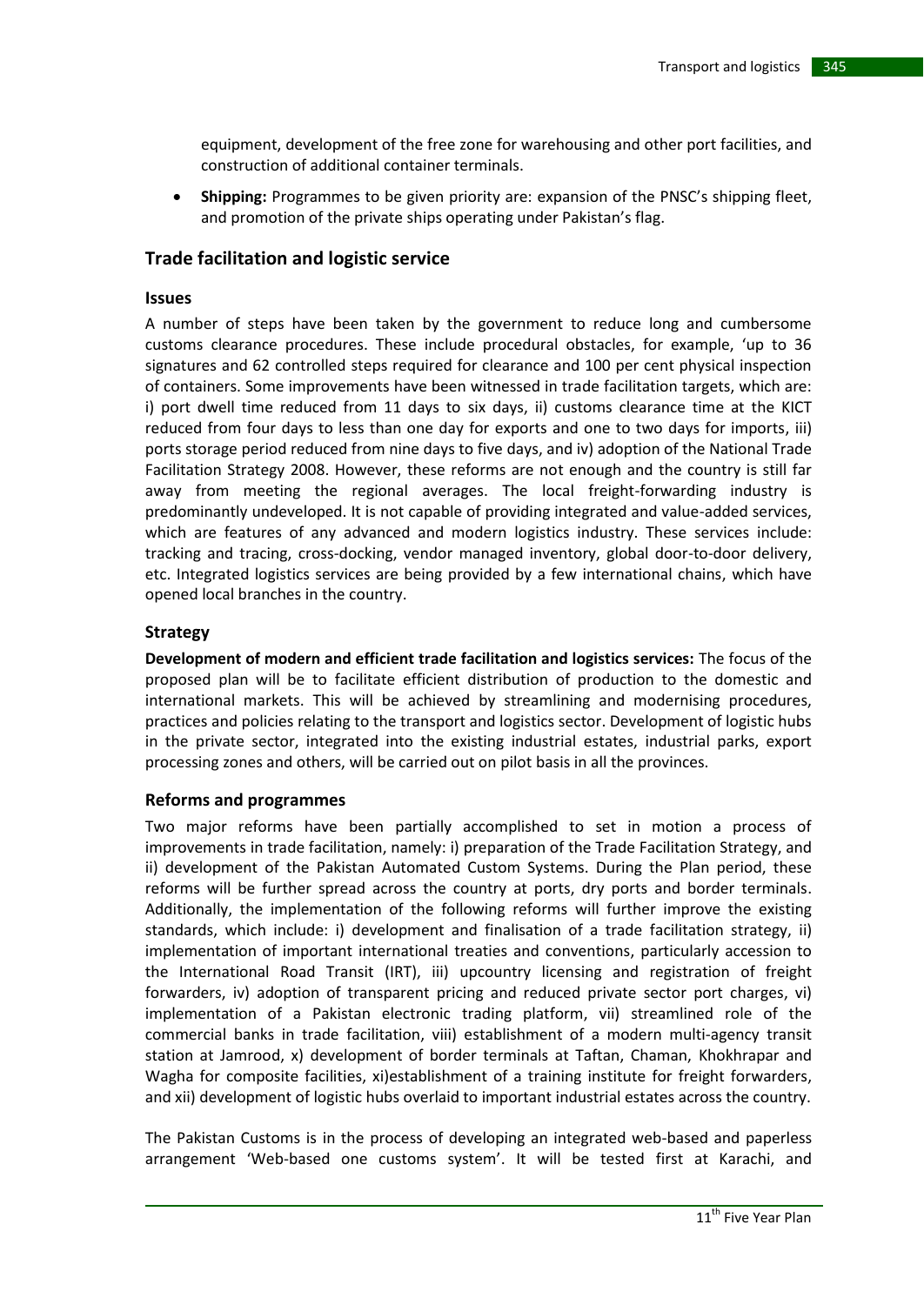equipment, development of the free zone for warehousing and other port facilities, and construction of additional container terminals.

 **Shipping:** Programmes to be given priority are: expansion of the PNSC's shipping fleet, and promotion of the private ships operating under Pakistan's flag.

## **Trade facilitation and logistic service**

#### **Issues**

A number of steps have been taken by the government to reduce long and cumbersome customs clearance procedures. These include procedural obstacles, for example, 'up to 36 signatures and 62 controlled steps required for clearance and 100 per cent physical inspection of containers. Some improvements have been witnessed in trade facilitation targets, which are: i) port dwell time reduced from 11 days to six days, ii) customs clearance time at the KICT reduced from four days to less than one day for exports and one to two days for imports, iii) ports storage period reduced from nine days to five days, and iv) adoption of the National Trade Facilitation Strategy 2008. However, these reforms are not enough and the country is still far away from meeting the regional averages. The local freight-forwarding industry is predominantly undeveloped. It is not capable of providing integrated and value-added services, which are features of any advanced and modern logistics industry. These services include: tracking and tracing, cross-docking, vendor managed inventory, global door-to-door delivery, etc. Integrated logistics services are being provided by a few international chains, which have opened local branches in the country.

#### **Strategy**

**Development of modern and efficient trade facilitation and logistics services:** The focus of the proposed plan will be to facilitate efficient distribution of production to the domestic and international markets. This will be achieved by streamlining and modernising procedures, practices and policies relating to the transport and logistics sector. Development of logistic hubs in the private sector, integrated into the existing industrial estates, industrial parks, export processing zones and others, will be carried out on pilot basis in all the provinces.

### **Reforms and programmes**

Two major reforms have been partially accomplished to set in motion a process of improvements in trade facilitation, namely: i) preparation of the Trade Facilitation Strategy, and ii) development of the Pakistan Automated Custom Systems. During the Plan period, these reforms will be further spread across the country at ports, dry ports and border terminals. Additionally, the implementation of the following reforms will further improve the existing standards, which include: i) development and finalisation of a trade facilitation strategy, ii) implementation of important international treaties and conventions, particularly accession to the International Road Transit (IRT), iii) upcountry licensing and registration of freight forwarders, iv) adoption of transparent pricing and reduced private sector port charges, vi) implementation of a Pakistan electronic trading platform, vii) streamlined role of the commercial banks in trade facilitation, viii) establishment of a modern multi-agency transit station at Jamrood, x) development of border terminals at Taftan, Chaman, Khokhrapar and Wagha for composite facilities, xi)establishment of a training institute for freight forwarders, and xii) development of logistic hubs overlaid to important industrial estates across the country.

The Pakistan Customs is in the process of developing an integrated web-based and paperless arrangement 'Web-based one customs system'. It will be tested first at Karachi, and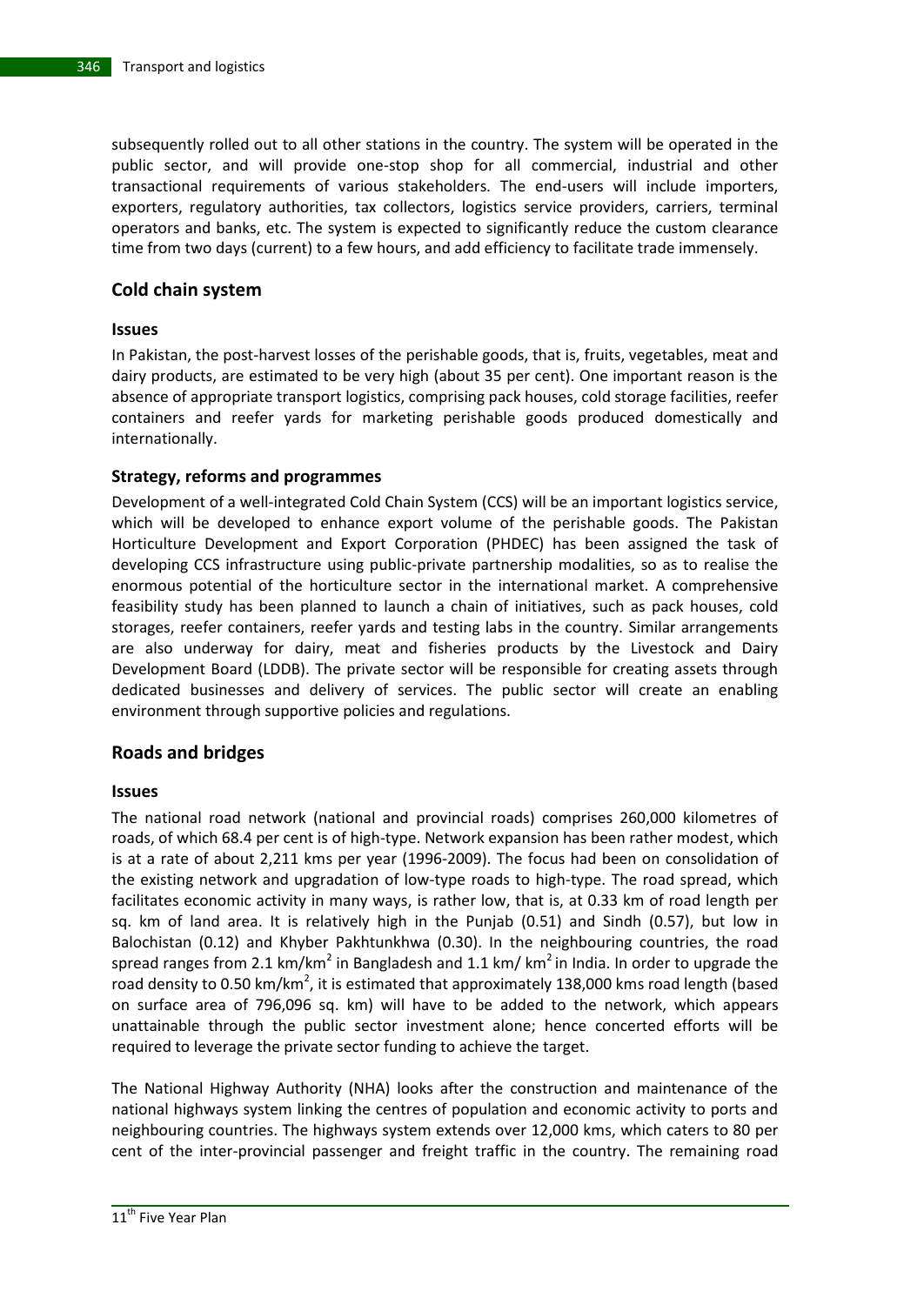subsequently rolled out to all other stations in the country. The system will be operated in the public sector, and will provide one-stop shop for all commercial, industrial and other transactional requirements of various stakeholders. The end-users will include importers, exporters, regulatory authorities, tax collectors, logistics service providers, carriers, terminal operators and banks, etc. The system is expected to significantly reduce the custom clearance time from two days (current) to a few hours, and add efficiency to facilitate trade immensely.

# **Cold chain system**

### **Issues**

In Pakistan, the post-harvest losses of the perishable goods, that is, fruits, vegetables, meat and dairy products, are estimated to be very high (about 35 per cent). One important reason is the absence of appropriate transport logistics, comprising pack houses, cold storage facilities, reefer containers and reefer yards for marketing perishable goods produced domestically and internationally.

## **Strategy, reforms and programmes**

Development of a well-integrated Cold Chain System (CCS) will be an important logistics service, which will be developed to enhance export volume of the perishable goods. The Pakistan Horticulture Development and Export Corporation (PHDEC) has been assigned the task of developing CCS infrastructure using public-private partnership modalities, so as to realise the enormous potential of the horticulture sector in the international market. A comprehensive feasibility study has been planned to launch a chain of initiatives, such as pack houses, cold storages, reefer containers, reefer yards and testing labs in the country. Similar arrangements are also underway for dairy, meat and fisheries products by the Livestock and Dairy Development Board (LDDB). The private sector will be responsible for creating assets through dedicated businesses and delivery of services. The public sector will create an enabling environment through supportive policies and regulations.

# **Roads and bridges**

### **Issues**

The national road network (national and provincial roads) comprises 260,000 kilometres of roads, of which 68.4 per cent is of high-type. Network expansion has been rather modest, which is at a rate of about 2,211 kms per year (1996-2009). The focus had been on consolidation of the existing network and upgradation of low-type roads to high-type. The road spread, which facilitates economic activity in many ways, is rather low, that is, at 0.33 km of road length per sq. km of land area. It is relatively high in the Punjab (0.51) and Sindh (0.57), but low in Balochistan (0.12) and Khyber Pakhtunkhwa (0.30). In the neighbouring countries, the road spread ranges from 2.1 km/km<sup>2</sup> in Bangladesh and 1.1 km/ km<sup>2</sup> in India. In order to upgrade the road density to 0.50 km/km<sup>2</sup>, it is estimated that approximately 138,000 kms road length (based on surface area of 796,096 sq. km) will have to be added to the network, which appears unattainable through the public sector investment alone; hence concerted efforts will be required to leverage the private sector funding to achieve the target.

The National Highway Authority (NHA) looks after the construction and maintenance of the national highways system linking the centres of population and economic activity to ports and neighbouring countries. The highways system extends over 12,000 kms, which caters to 80 per cent of the inter-provincial passenger and freight traffic in the country. The remaining road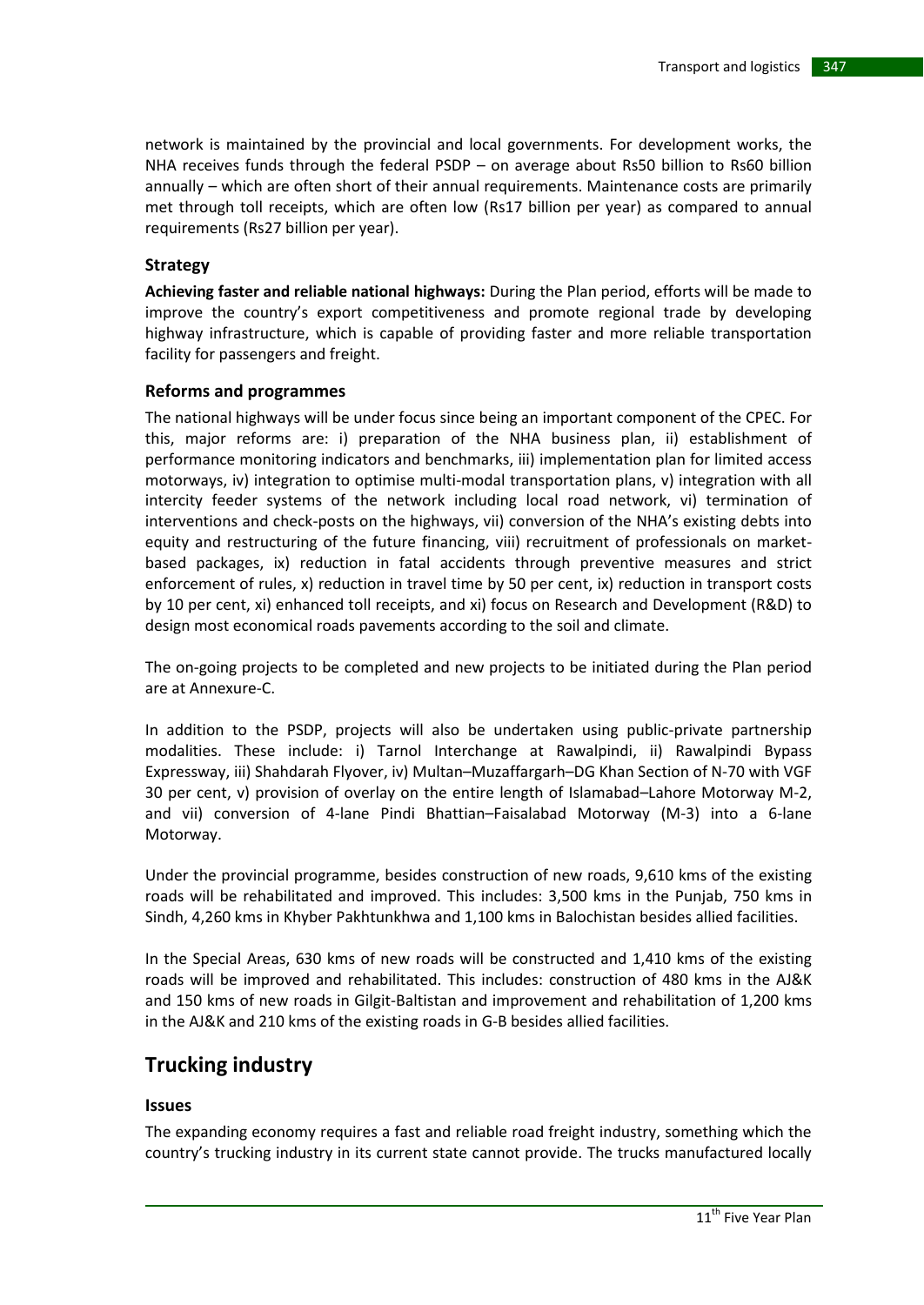network is maintained by the provincial and local governments. For development works, the NHA receives funds through the federal PSDP – on average about Rs50 billion to Rs60 billion annually – which are often short of their annual requirements. Maintenance costs are primarily met through toll receipts, which are often low (Rs17 billion per year) as compared to annual requirements (Rs27 billion per year).

#### **Strategy**

**Achieving faster and reliable national highways:** During the Plan period, efforts will be made to improve the country's export competitiveness and promote regional trade by developing highway infrastructure, which is capable of providing faster and more reliable transportation facility for passengers and freight.

#### **Reforms and programmes**

The national highways will be under focus since being an important component of the CPEC. For this, major reforms are: i) preparation of the NHA business plan, ii) establishment of performance monitoring indicators and benchmarks, iii) implementation plan for limited access motorways, iv) integration to optimise multi-modal transportation plans, v) integration with all intercity feeder systems of the network including local road network, vi) termination of interventions and check-posts on the highways, vii) conversion of the NHA's existing debts into equity and restructuring of the future financing, viii) recruitment of professionals on marketbased packages, ix) reduction in fatal accidents through preventive measures and strict enforcement of rules, x) reduction in travel time by 50 per cent, ix) reduction in transport costs by 10 per cent, xi) enhanced toll receipts, and xi) focus on Research and Development (R&D) to design most economical roads pavements according to the soil and climate.

The on-going projects to be completed and new projects to be initiated during the Plan period are at Annexure-C.

In addition to the PSDP, projects will also be undertaken using public-private partnership modalities. These include: i) Tarnol Interchange at Rawalpindi, ii) Rawalpindi Bypass Expressway, iii) Shahdarah Flyover, iv) Multan–Muzaffargarh–DG Khan Section of N-70 with VGF 30 per cent, v) provision of overlay on the entire length of Islamabad–Lahore Motorway M-2, and vii) conversion of 4-lane Pindi Bhattian–Faisalabad Motorway (M-3) into a 6-lane Motorway.

Under the provincial programme, besides construction of new roads, 9,610 kms of the existing roads will be rehabilitated and improved. This includes: 3,500 kms in the Punjab, 750 kms in Sindh, 4,260 kms in Khyber Pakhtunkhwa and 1,100 kms in Balochistan besides allied facilities.

In the Special Areas, 630 kms of new roads will be constructed and 1,410 kms of the existing roads will be improved and rehabilitated. This includes: construction of 480 kms in the AJ&K and 150 kms of new roads in Gilgit-Baltistan and improvement and rehabilitation of 1,200 kms in the AJ&K and 210 kms of the existing roads in G-B besides allied facilities.

# **Trucking industry**

#### **Issues**

The expanding economy requires a fast and reliable road freight industry, something which the country's trucking industry in its current state cannot provide. The trucks manufactured locally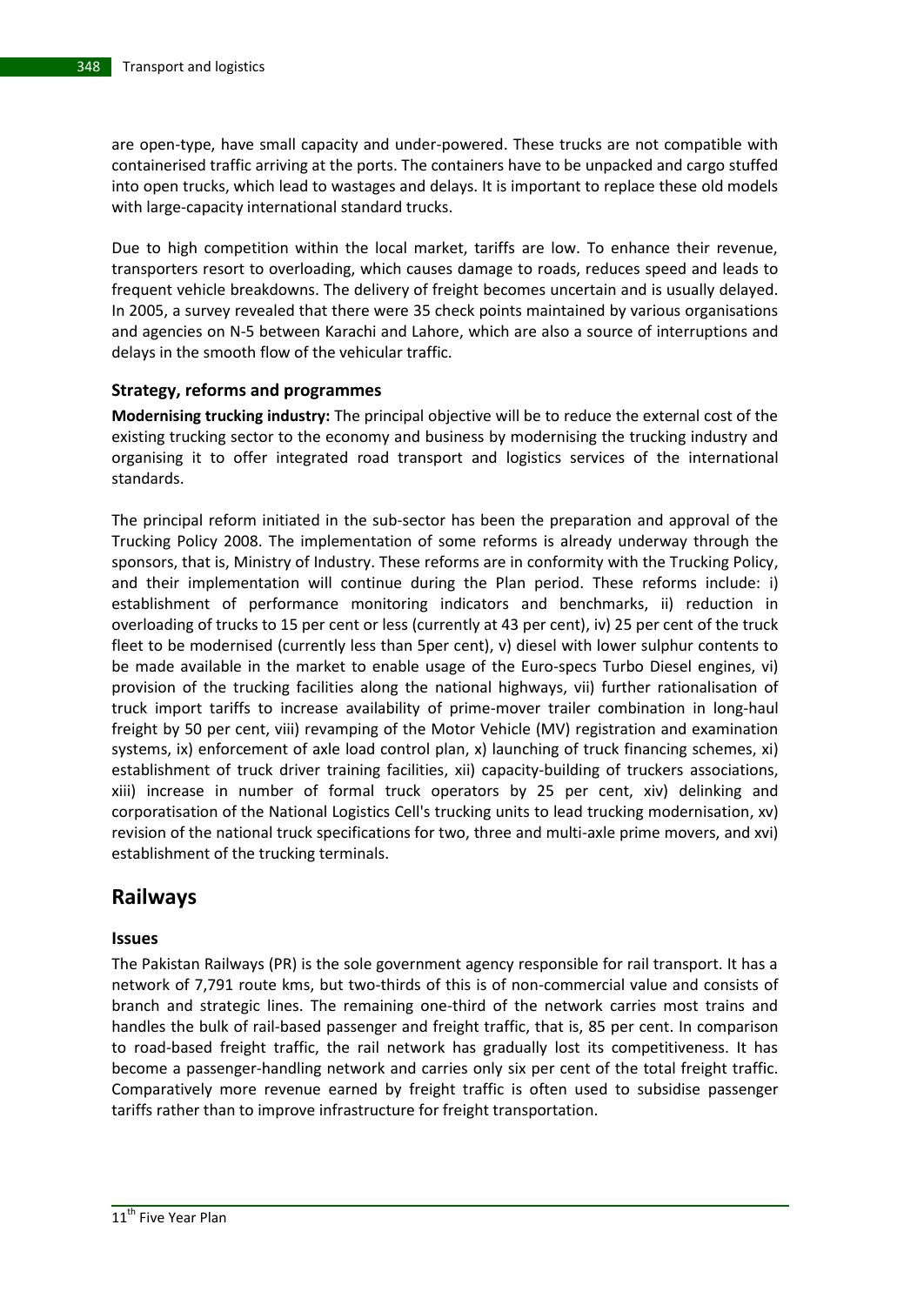are open-type, have small capacity and under-powered. These trucks are not compatible with containerised traffic arriving at the ports. The containers have to be unpacked and cargo stuffed into open trucks, which lead to wastages and delays. It is important to replace these old models with large-capacity international standard trucks.

Due to high competition within the local market, tariffs are low. To enhance their revenue, transporters resort to overloading, which causes damage to roads, reduces speed and leads to frequent vehicle breakdowns. The delivery of freight becomes uncertain and is usually delayed. In 2005, a survey revealed that there were 35 check points maintained by various organisations and agencies on N-5 between Karachi and Lahore, which are also a source of interruptions and delays in the smooth flow of the vehicular traffic.

#### **Strategy, reforms and programmes**

**Modernising trucking industry:** The principal objective will be to reduce the external cost of the existing trucking sector to the economy and business by modernising the trucking industry and organising it to offer integrated road transport and logistics services of the international standards.

The principal reform initiated in the sub-sector has been the preparation and approval of the Trucking Policy 2008. The implementation of some reforms is already underway through the sponsors, that is, Ministry of Industry. These reforms are in conformity with the Trucking Policy, and their implementation will continue during the Plan period. These reforms include: i) establishment of performance monitoring indicators and benchmarks, ii) reduction in overloading of trucks to 15 per cent or less (currently at 43 per cent), iv) 25 per cent of the truck fleet to be modernised (currently less than 5per cent), v) diesel with lower sulphur contents to be made available in the market to enable usage of the Euro-specs Turbo Diesel engines, vi) provision of the trucking facilities along the national highways, vii) further rationalisation of truck import tariffs to increase availability of prime-mover trailer combination in long-haul freight by 50 per cent, viii) revamping of the Motor Vehicle (MV) registration and examination systems, ix) enforcement of axle load control plan, x) launching of truck financing schemes, xi) establishment of truck driver training facilities, xii) capacity-building of truckers associations, xiii) increase in number of formal truck operators by 25 per cent, xiv) delinking and corporatisation of the National Logistics Cell's trucking units to lead trucking modernisation, xv) revision of the national truck specifications for two, three and multi-axle prime movers, and xvi) establishment of the trucking terminals.

# **Railways**

#### **Issues**

The Pakistan Railways (PR) is the sole government agency responsible for rail transport. It has a network of 7,791 route kms, but two-thirds of this is of non-commercial value and consists of branch and strategic lines. The remaining one-third of the network carries most trains and handles the bulk of rail-based passenger and freight traffic, that is, 85 per cent. In comparison to road-based freight traffic, the rail network has gradually lost its competitiveness. It has become a passenger-handling network and carries only six per cent of the total freight traffic. Comparatively more revenue earned by freight traffic is often used to subsidise passenger tariffs rather than to improve infrastructure for freight transportation.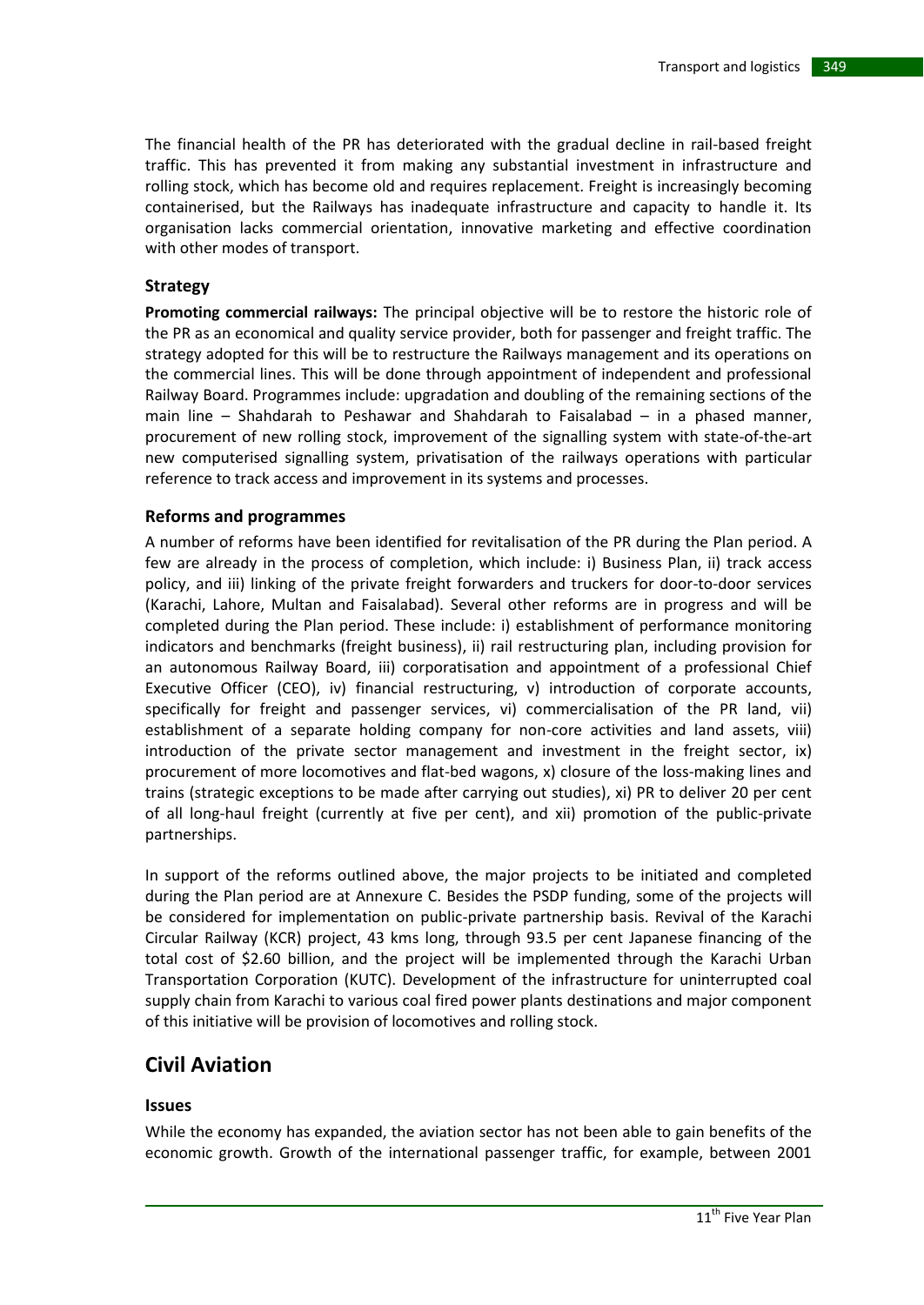The financial health of the PR has deteriorated with the gradual decline in rail-based freight traffic. This has prevented it from making any substantial investment in infrastructure and rolling stock, which has become old and requires replacement. Freight is increasingly becoming containerised, but the Railways has inadequate infrastructure and capacity to handle it. Its organisation lacks commercial orientation, innovative marketing and effective coordination with other modes of transport.

#### **Strategy**

**Promoting commercial railways:** The principal objective will be to restore the historic role of the PR as an economical and quality service provider, both for passenger and freight traffic. The strategy adopted for this will be to restructure the Railways management and its operations on the commercial lines. This will be done through appointment of independent and professional Railway Board. Programmes include: upgradation and doubling of the remaining sections of the main line – Shahdarah to Peshawar and Shahdarah to Faisalabad – in a phased manner, procurement of new rolling stock, improvement of the signalling system with state-of-the-art new computerised signalling system, privatisation of the railways operations with particular reference to track access and improvement in its systems and processes.

#### **Reforms and programmes**

A number of reforms have been identified for revitalisation of the PR during the Plan period. A few are already in the process of completion, which include: i) Business Plan, ii) track access policy, and iii) linking of the private freight forwarders and truckers for door-to-door services (Karachi, Lahore, Multan and Faisalabad). Several other reforms are in progress and will be completed during the Plan period. These include: i) establishment of performance monitoring indicators and benchmarks (freight business), ii) rail restructuring plan, including provision for an autonomous Railway Board, iii) corporatisation and appointment of a professional Chief Executive Officer (CEO), iv) financial restructuring, v) introduction of corporate accounts, specifically for freight and passenger services, vi) commercialisation of the PR land, vii) establishment of a separate holding company for non-core activities and land assets, viii) introduction of the private sector management and investment in the freight sector, ix) procurement of more locomotives and flat-bed wagons, x) closure of the loss-making lines and trains (strategic exceptions to be made after carrying out studies), xi) PR to deliver 20 per cent of all long-haul freight (currently at five per cent), and xii) promotion of the public-private partnerships.

In support of the reforms outlined above, the major projects to be initiated and completed during the Plan period are at Annexure C. Besides the PSDP funding, some of the projects will be considered for implementation on public-private partnership basis. Revival of the Karachi Circular Railway (KCR) project, 43 kms long, through 93.5 per cent Japanese financing of the total cost of \$2.60 billion, and the project will be implemented through the Karachi Urban Transportation Corporation (KUTC). Development of the infrastructure for uninterrupted coal supply chain from Karachi to various coal fired power plants destinations and major component of this initiative will be provision of locomotives and rolling stock.

# **Civil Aviation**

#### **Issues**

While the economy has expanded, the aviation sector has not been able to gain benefits of the economic growth. Growth of the international passenger traffic, for example, between 2001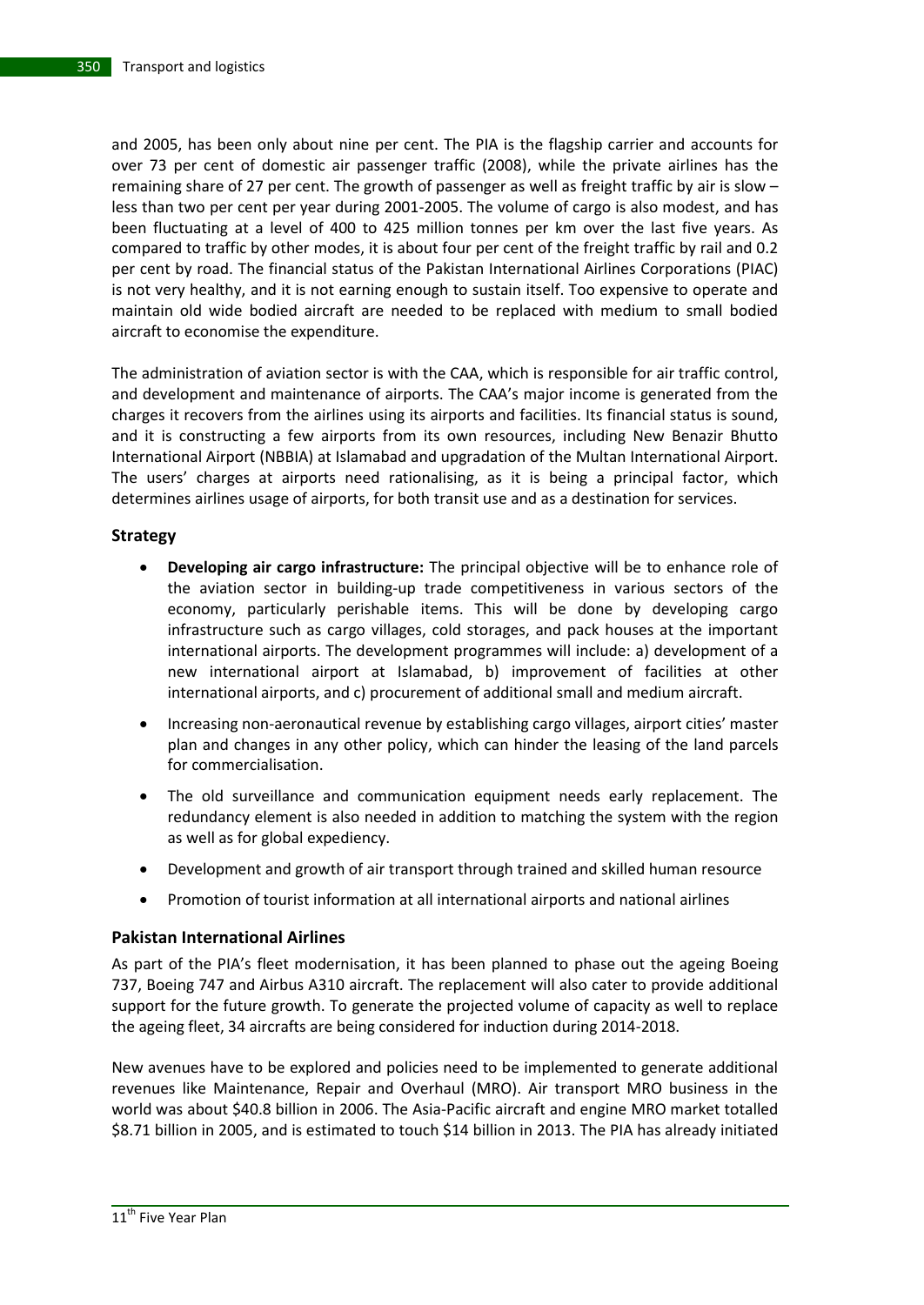and 2005, has been only about nine per cent. The PIA is the flagship carrier and accounts for over 73 per cent of domestic air passenger traffic (2008), while the private airlines has the remaining share of 27 per cent. The growth of passenger as well as freight traffic by air is slow – less than two per cent per year during 2001-2005. The volume of cargo is also modest, and has been fluctuating at a level of 400 to 425 million tonnes per km over the last five years. As compared to traffic by other modes, it is about four per cent of the freight traffic by rail and 0.2 per cent by road. The financial status of the Pakistan International Airlines Corporations (PIAC) is not very healthy, and it is not earning enough to sustain itself. Too expensive to operate and maintain old wide bodied aircraft are needed to be replaced with medium to small bodied aircraft to economise the expenditure.

The administration of aviation sector is with the CAA, which is responsible for air traffic control, and development and maintenance of airports. The CAA's major income is generated from the charges it recovers from the airlines using its airports and facilities. Its financial status is sound, and it is constructing a few airports from its own resources, including New Benazir Bhutto International Airport (NBBIA) at Islamabad and upgradation of the Multan International Airport. The users' charges at airports need rationalising, as it is being a principal factor, which determines airlines usage of airports, for both transit use and as a destination for services.

#### **Strategy**

- **Developing air cargo infrastructure:** The principal objective will be to enhance role of the aviation sector in building-up trade competitiveness in various sectors of the economy, particularly perishable items. This will be done by developing cargo infrastructure such as cargo villages, cold storages, and pack houses at the important international airports. The development programmes will include: a) development of a new international airport at Islamabad, b) improvement of facilities at other international airports, and c) procurement of additional small and medium aircraft.
- Increasing non-aeronautical revenue by establishing cargo villages, airport cities' master plan and changes in any other policy, which can hinder the leasing of the land parcels for commercialisation.
- The old surveillance and communication equipment needs early replacement. The redundancy element is also needed in addition to matching the system with the region as well as for global expediency.
- Development and growth of air transport through trained and skilled human resource
- Promotion of tourist information at all international airports and national airlines

### **Pakistan International Airlines**

As part of the PIA's fleet modernisation, it has been planned to phase out the ageing Boeing 737, Boeing 747 and Airbus A310 aircraft. The replacement will also cater to provide additional support for the future growth. To generate the projected volume of capacity as well to replace the ageing fleet, 34 aircrafts are being considered for induction during 2014-2018.

New avenues have to be explored and policies need to be implemented to generate additional revenues like Maintenance, Repair and Overhaul (MRO). Air transport MRO business in the world was about \$40.8 billion in 2006. The Asia-Pacific aircraft and engine MRO market totalled \$8.71 billion in 2005, and is estimated to touch \$14 billion in 2013. The PIA has already initiated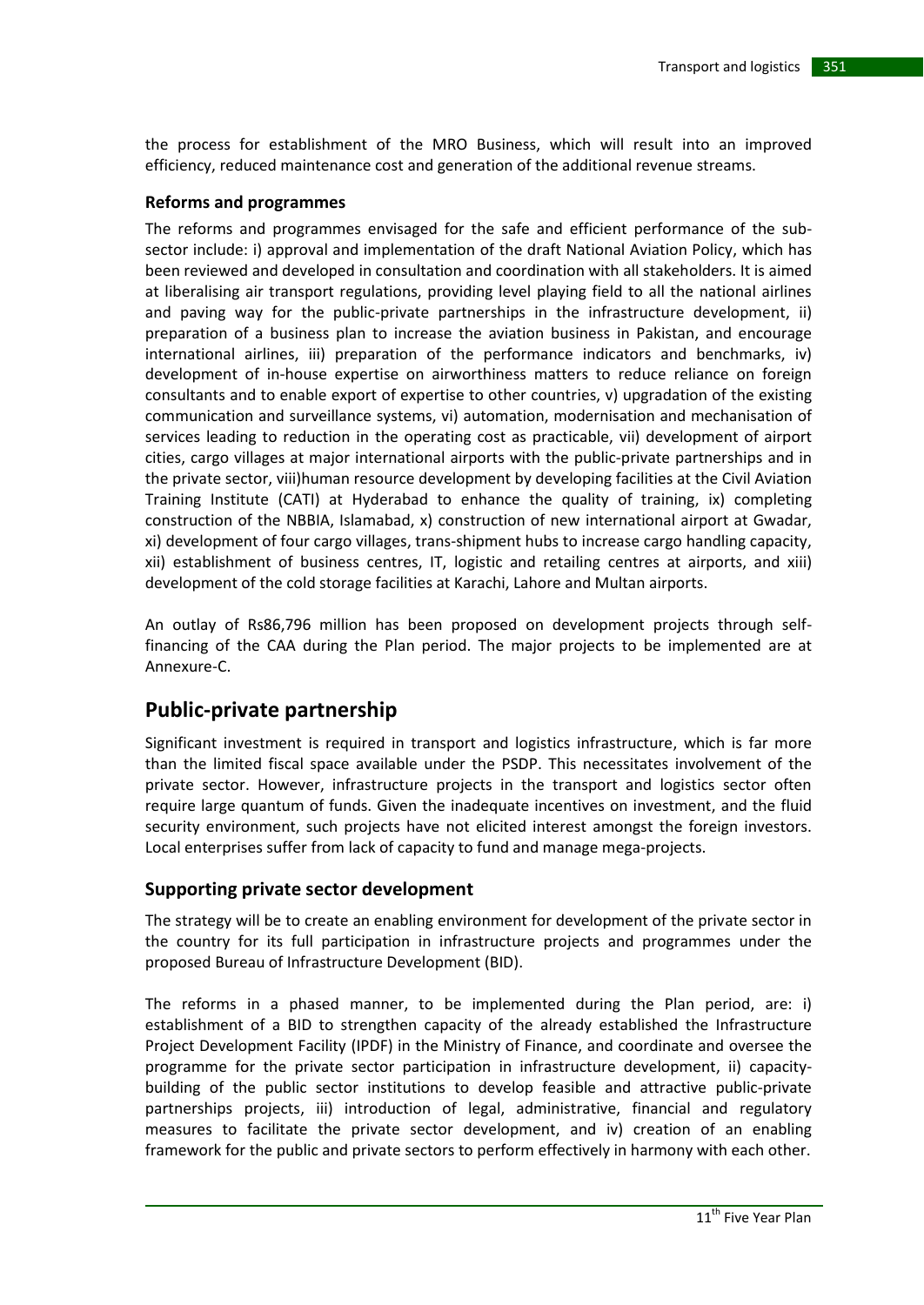the process for establishment of the MRO Business, which will result into an improved efficiency, reduced maintenance cost and generation of the additional revenue streams.

#### **Reforms and programmes**

The reforms and programmes envisaged for the safe and efficient performance of the subsector include: i) approval and implementation of the draft National Aviation Policy, which has been reviewed and developed in consultation and coordination with all stakeholders. It is aimed at liberalising air transport regulations, providing level playing field to all the national airlines and paving way for the public-private partnerships in the infrastructure development, ii) preparation of a business plan to increase the aviation business in Pakistan, and encourage international airlines, iii) preparation of the performance indicators and benchmarks, iv) development of in-house expertise on airworthiness matters to reduce reliance on foreign consultants and to enable export of expertise to other countries, v) upgradation of the existing communication and surveillance systems, vi) automation, modernisation and mechanisation of services leading to reduction in the operating cost as practicable, vii) development of airport cities, cargo villages at major international airports with the public-private partnerships and in the private sector, viii)human resource development by developing facilities at the Civil Aviation Training Institute (CATI) at Hyderabad to enhance the quality of training, ix) completing construction of the NBBIA, Islamabad, x) construction of new international airport at Gwadar, xi) development of four cargo villages, trans-shipment hubs to increase cargo handling capacity, xii) establishment of business centres, IT, logistic and retailing centres at airports, and xiii) development of the cold storage facilities at Karachi, Lahore and Multan airports.

An outlay of Rs86,796 million has been proposed on development projects through selffinancing of the CAA during the Plan period. The major projects to be implemented are at Annexure-C.

# **Public-private partnership**

Significant investment is required in transport and logistics infrastructure, which is far more than the limited fiscal space available under the PSDP. This necessitates involvement of the private sector. However, infrastructure projects in the transport and logistics sector often require large quantum of funds. Given the inadequate incentives on investment, and the fluid security environment, such projects have not elicited interest amongst the foreign investors. Local enterprises suffer from lack of capacity to fund and manage mega-projects.

### **Supporting private sector development**

The strategy will be to create an enabling environment for development of the private sector in the country for its full participation in infrastructure projects and programmes under the proposed Bureau of Infrastructure Development (BID).

The reforms in a phased manner, to be implemented during the Plan period, are: i) establishment of a BID to strengthen capacity of the already established the Infrastructure Project Development Facility (IPDF) in the Ministry of Finance, and coordinate and oversee the programme for the private sector participation in infrastructure development, ii) capacitybuilding of the public sector institutions to develop feasible and attractive public-private partnerships projects, iii) introduction of legal, administrative, financial and regulatory measures to facilitate the private sector development, and iv) creation of an enabling framework for the public and private sectors to perform effectively in harmony with each other.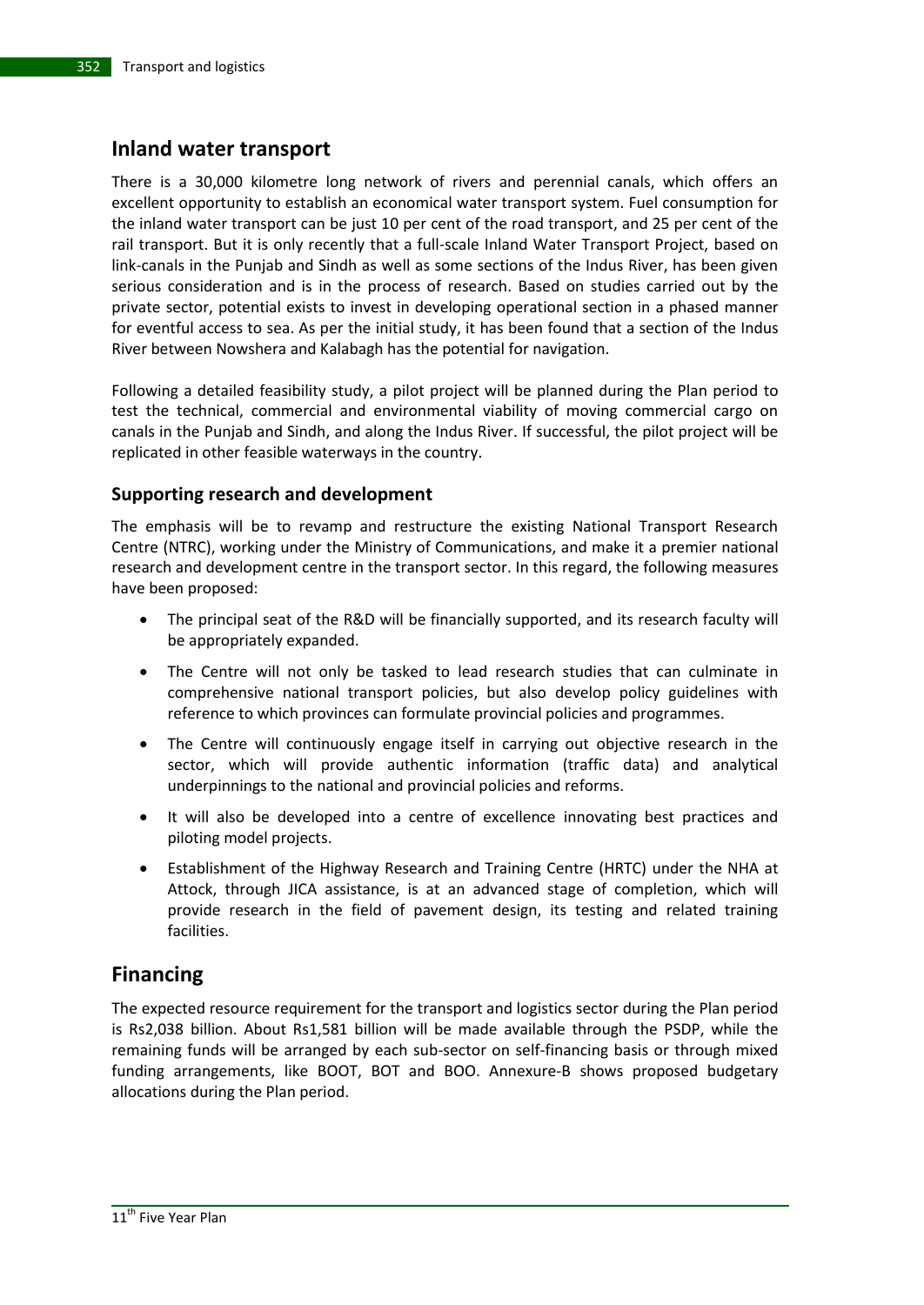# **Inland water transport**

There is a 30,000 kilometre long network of rivers and perennial canals, which offers an excellent opportunity to establish an economical water transport system. Fuel consumption for the inland water transport can be just 10 per cent of the road transport, and 25 per cent of the rail transport. But it is only recently that a full-scale Inland Water Transport Project, based on link-canals in the Punjab and Sindh as well as some sections of the Indus River, has been given serious consideration and is in the process of research. Based on studies carried out by the private sector, potential exists to invest in developing operational section in a phased manner for eventful access to sea. As per the initial study, it has been found that a section of the Indus River between Nowshera and Kalabagh has the potential for navigation.

Following a detailed feasibility study, a pilot project will be planned during the Plan period to test the technical, commercial and environmental viability of moving commercial cargo on canals in the Punjab and Sindh, and along the Indus River. If successful, the pilot project will be replicated in other feasible waterways in the country.

## **Supporting research and development**

The emphasis will be to revamp and restructure the existing National Transport Research Centre (NTRC), working under the Ministry of Communications, and make it a premier national research and development centre in the transport sector. In this regard, the following measures have been proposed:

- The principal seat of the R&D will be financially supported, and its research faculty will be appropriately expanded.
- The Centre will not only be tasked to lead research studies that can culminate in comprehensive national transport policies, but also develop policy guidelines with reference to which provinces can formulate provincial policies and programmes.
- The Centre will continuously engage itself in carrying out objective research in the sector, which will provide authentic information (traffic data) and analytical underpinnings to the national and provincial policies and reforms.
- It will also be developed into a centre of excellence innovating best practices and piloting model projects.
- Establishment of the Highway Research and Training Centre (HRTC) under the NHA at Attock, through JICA assistance, is at an advanced stage of completion, which will provide research in the field of pavement design, its testing and related training facilities.

# **Financing**

The expected resource requirement for the transport and logistics sector during the Plan period is Rs2,038 billion. About Rs1,581 billion will be made available through the PSDP, while the remaining funds will be arranged by each sub-sector on self-financing basis or through mixed funding arrangements, like BOOT, BOT and BOO. Annexure-B shows proposed budgetary allocations during the Plan period.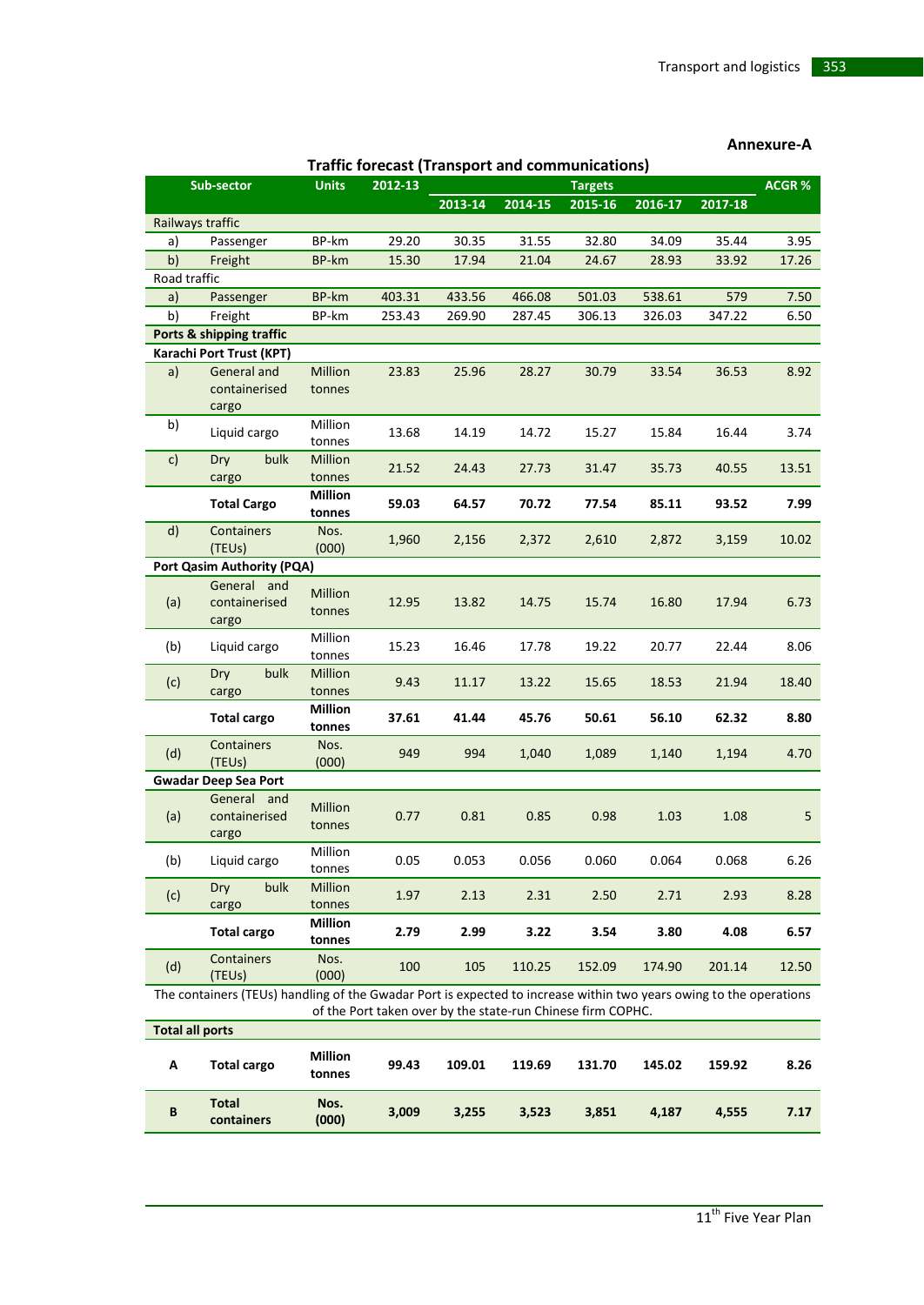| <b>Traffic forecast (Transport and communications)</b> |                              |                |         |         |         |                |         |         |              |
|--------------------------------------------------------|------------------------------|----------------|---------|---------|---------|----------------|---------|---------|--------------|
|                                                        | Sub-sector                   | <b>Units</b>   | 2012-13 |         |         | <b>Targets</b> |         |         | <b>ACGR%</b> |
|                                                        |                              |                |         | 2013-14 | 2014-15 | 2015-16        | 2016-17 | 2017-18 |              |
|                                                        | Railways traffic             |                |         |         |         |                |         |         |              |
| a)                                                     | Passenger                    | BP-km          | 29.20   | 30.35   | 31.55   | 32.80          | 34.09   | 35.44   | 3.95         |
| b)                                                     | Freight                      | BP-km          | 15.30   | 17.94   | 21.04   | 24.67          | 28.93   | 33.92   | 17.26        |
| Road traffic                                           |                              |                |         |         |         |                |         |         |              |
| a)                                                     | Passenger                    | BP-km          | 403.31  | 433.56  | 466.08  | 501.03         | 538.61  | 579     | 7.50         |
| b)                                                     | Freight                      | BP-km          | 253.43  | 269.90  | 287.45  | 306.13         | 326.03  | 347.22  | 6.50         |
|                                                        | Ports & shipping traffic     |                |         |         |         |                |         |         |              |
|                                                        | Karachi Port Trust (KPT)     |                |         |         |         |                |         |         |              |
| a)                                                     | General and                  | Million        | 23.83   | 25.96   | 28.27   | 30.79          | 33.54   | 36.53   | 8.92         |
|                                                        | containerised                | tonnes         |         |         |         |                |         |         |              |
|                                                        | cargo                        |                |         |         |         |                |         |         |              |
| b)                                                     | Liquid cargo                 | Million        | 13.68   | 14.19   | 14.72   | 15.27          | 15.84   | 16.44   | 3.74         |
|                                                        |                              | tonnes         |         |         |         |                |         |         |              |
| c)                                                     | bulk<br>Dry                  | <b>Million</b> | 21.52   | 24.43   | 27.73   | 31.47          | 35.73   | 40.55   | 13.51        |
|                                                        | cargo                        | tonnes         |         |         |         |                |         |         |              |
|                                                        | <b>Total Cargo</b>           | Million        | 59.03   | 64.57   | 70.72   | 77.54          | 85.11   | 93.52   | 7.99         |
|                                                        |                              | tonnes         |         |         |         |                |         |         |              |
| d)                                                     | Containers                   | Nos.           | 1,960   | 2,156   | 2,372   | 2,610          | 2,872   | 3,159   | 10.02        |
|                                                        | (TEUS)                       | (000)          |         |         |         |                |         |         |              |
|                                                        | Port Qasim Authority (PQA)   |                |         |         |         |                |         |         |              |
| (a)                                                    | General and<br>containerised | <b>Million</b> | 12.95   | 13.82   | 14.75   | 15.74          | 16.80   | 17.94   | 6.73         |
|                                                        | cargo                        | tonnes         |         |         |         |                |         |         |              |
|                                                        |                              | Million        |         |         |         |                |         |         |              |
| (b)                                                    | Liquid cargo                 | tonnes         | 15.23   | 16.46   | 17.78   | 19.22          | 20.77   | 22.44   | 8.06         |
|                                                        | bulk<br>Dry                  | Million        |         |         |         |                |         |         |              |
| (c)                                                    | cargo                        | tonnes         | 9.43    | 11.17   | 13.22   | 15.65          | 18.53   | 21.94   | 18.40        |
|                                                        |                              | Million        |         |         |         |                |         |         |              |
|                                                        | Total cargo                  | tonnes         | 37.61   | 41.44   | 45.76   | 50.61          | 56.10   | 62.32   | 8.80         |
|                                                        | Containers                   | Nos.           | 949     | 994     |         |                |         |         | 4.70         |
| (d)                                                    | (TEUS)                       | (000)          |         |         | 1,040   | 1,089          | 1,140   | 1,194   |              |
|                                                        | <b>Gwadar Deep Sea Port</b>  |                |         |         |         |                |         |         |              |
|                                                        | General and                  | Million        |         |         |         |                |         |         |              |
| (a)                                                    | containerised                | tonnes         | 0.77    | 0.81    | 0.85    | 0.98           | 1.03    | 1.08    | 5            |
|                                                        | cargo                        |                |         |         |         |                |         |         |              |
| (b)                                                    | Liquid cargo                 | Million        | 0.05    | 0.053   | 0.056   | 0.060          | 0.064   | 0.068   | 6.26         |
|                                                        |                              | tonnes         |         |         |         |                |         |         |              |
| (c)                                                    | Dry<br>bulk                  | Million        | 1.97    | 2.13    | 2.31    | 2.50           | 2.71    | 2.93    | 8.28         |
|                                                        | cargo                        | tonnes         |         |         |         |                |         |         |              |
|                                                        | <b>Total cargo</b>           | <b>Million</b> | 2.79    | 2.99    | 3.22    | 3.54           | 3.80    | 4.08    | 6.57         |
|                                                        |                              | tonnes         |         |         |         |                |         |         |              |
| (d)                                                    | Containers<br>(TEUs)         | Nos.<br>(000)  | 100     | 105     | 110.25  | 152.09         | 174.90  | 201.14  | 12.50        |
|                                                        | $4 \pm 1.1$                  |                |         |         |         |                |         |         |              |

#### **Annexure-A**

The containers (TEUs) handling of the Gwadar Port is expected to increase within two years owing to the operations of the Port taken over by the state-run Chinese firm COPHC.

|   | <b>Total all ports</b> |                          |       |        |        |        |        |        |      |
|---|------------------------|--------------------------|-------|--------|--------|--------|--------|--------|------|
| A | <b>Total cargo</b>     | <b>Million</b><br>tonnes | 99.43 | 109.01 | 119.69 | 131.70 | 145.02 | 159.92 | 8.26 |
| B | Total<br>containers    | Nos.<br>(000)            | 3,009 | 3,255  | 3,523  | 3,851  | 4,187  | 4.555  | 7.17 |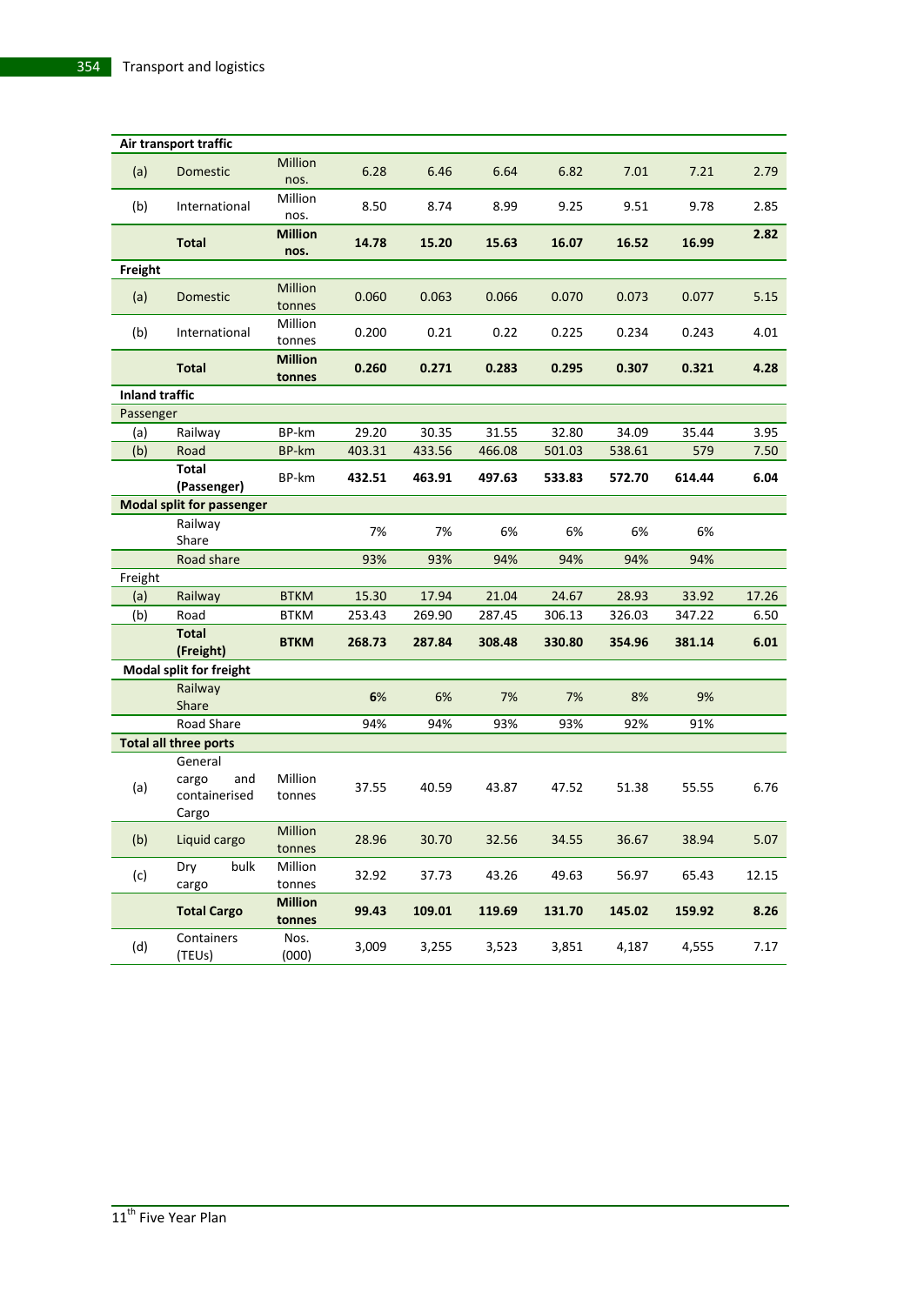|                       | Air transport traffic                             |                          |        |        |        |        |        |        |       |
|-----------------------|---------------------------------------------------|--------------------------|--------|--------|--------|--------|--------|--------|-------|
| (a)                   | Domestic                                          | Million<br>nos.          | 6.28   | 6.46   | 6.64   | 6.82   | 7.01   | 7.21   | 2.79  |
| (b)                   | International                                     | Million<br>nos.          | 8.50   | 8.74   | 8.99   | 9.25   | 9.51   | 9.78   | 2.85  |
|                       | <b>Total</b>                                      | <b>Million</b><br>nos.   | 14.78  | 15.20  | 15.63  | 16.07  | 16.52  | 16.99  | 2.82  |
| Freight               |                                                   |                          |        |        |        |        |        |        |       |
| (a)                   | Domestic                                          | Million<br>tonnes        | 0.060  | 0.063  | 0.066  | 0.070  | 0.073  | 0.077  | 5.15  |
| (b)                   | International                                     | Million<br>tonnes        | 0.200  | 0.21   | 0.22   | 0.225  | 0.234  | 0.243  | 4.01  |
|                       | <b>Total</b>                                      | <b>Million</b><br>tonnes | 0.260  | 0.271  | 0.283  | 0.295  | 0.307  | 0.321  | 4.28  |
| <b>Inland traffic</b> |                                                   |                          |        |        |        |        |        |        |       |
| Passenger             |                                                   |                          |        |        |        |        |        |        |       |
| (a)                   | Railway                                           | BP-km                    | 29.20  | 30.35  | 31.55  | 32.80  | 34.09  | 35.44  | 3.95  |
| (b)                   | Road                                              | <b>BP-km</b>             | 403.31 | 433.56 | 466.08 | 501.03 | 538.61 | 579    | 7.50  |
|                       | <b>Total</b><br>(Passenger)                       | BP-km                    | 432.51 | 463.91 | 497.63 | 533.83 | 572.70 | 614.44 | 6.04  |
|                       | <b>Modal split for passenger</b>                  |                          |        |        |        |        |        |        |       |
|                       | Railway                                           |                          | 7%     | 7%     | 6%     | 6%     | 6%     | 6%     |       |
|                       | Share                                             |                          |        |        |        |        |        |        |       |
|                       | Road share                                        |                          | 93%    | 93%    | 94%    | 94%    | 94%    | 94%    |       |
| Freight               |                                                   |                          |        |        |        |        |        |        |       |
| (a)                   | Railway                                           | <b>BTKM</b>              | 15.30  | 17.94  | 21.04  | 24.67  | 28.93  | 33.92  | 17.26 |
| (b)                   | Road                                              | <b>BTKM</b>              | 253.43 | 269.90 | 287.45 | 306.13 | 326.03 | 347.22 | 6.50  |
|                       | <b>Total</b><br>(Freight)                         | <b>BTKM</b>              | 268.73 | 287.84 | 308.48 | 330.80 | 354.96 | 381.14 | 6.01  |
|                       | <b>Modal split for freight</b>                    |                          |        |        |        |        |        |        |       |
|                       | Railway                                           |                          | 6%     | 6%     | 7%     | 7%     | 8%     | 9%     |       |
|                       | Share                                             |                          |        |        |        |        |        |        |       |
|                       | Road Share                                        |                          | 94%    | 94%    | 93%    | 93%    | 92%    | 91%    |       |
|                       | <b>Total all three ports</b>                      |                          |        |        |        |        |        |        |       |
| (a)                   | General<br>and<br>cargo<br>containerised<br>Cargo | Million<br>tonnes        | 37.55  | 40.59  | 43.87  | 47.52  | 51.38  | 55.55  | 6.76  |
| (b)                   | Liquid cargo                                      | Million<br>tonnes        | 28.96  | 30.70  | 32.56  | 34.55  | 36.67  | 38.94  | 5.07  |
| (c)                   | Dry<br>bulk<br>cargo                              | Million<br>tonnes        | 32.92  | 37.73  | 43.26  | 49.63  | 56.97  | 65.43  | 12.15 |
|                       | <b>Total Cargo</b>                                | <b>Million</b><br>tonnes | 99.43  | 109.01 | 119.69 | 131.70 | 145.02 | 159.92 | 8.26  |
| (d)                   | Containers<br>(TEUs)                              | Nos.<br>(000)            | 3,009  | 3,255  | 3,523  | 3,851  | 4,187  | 4,555  | 7.17  |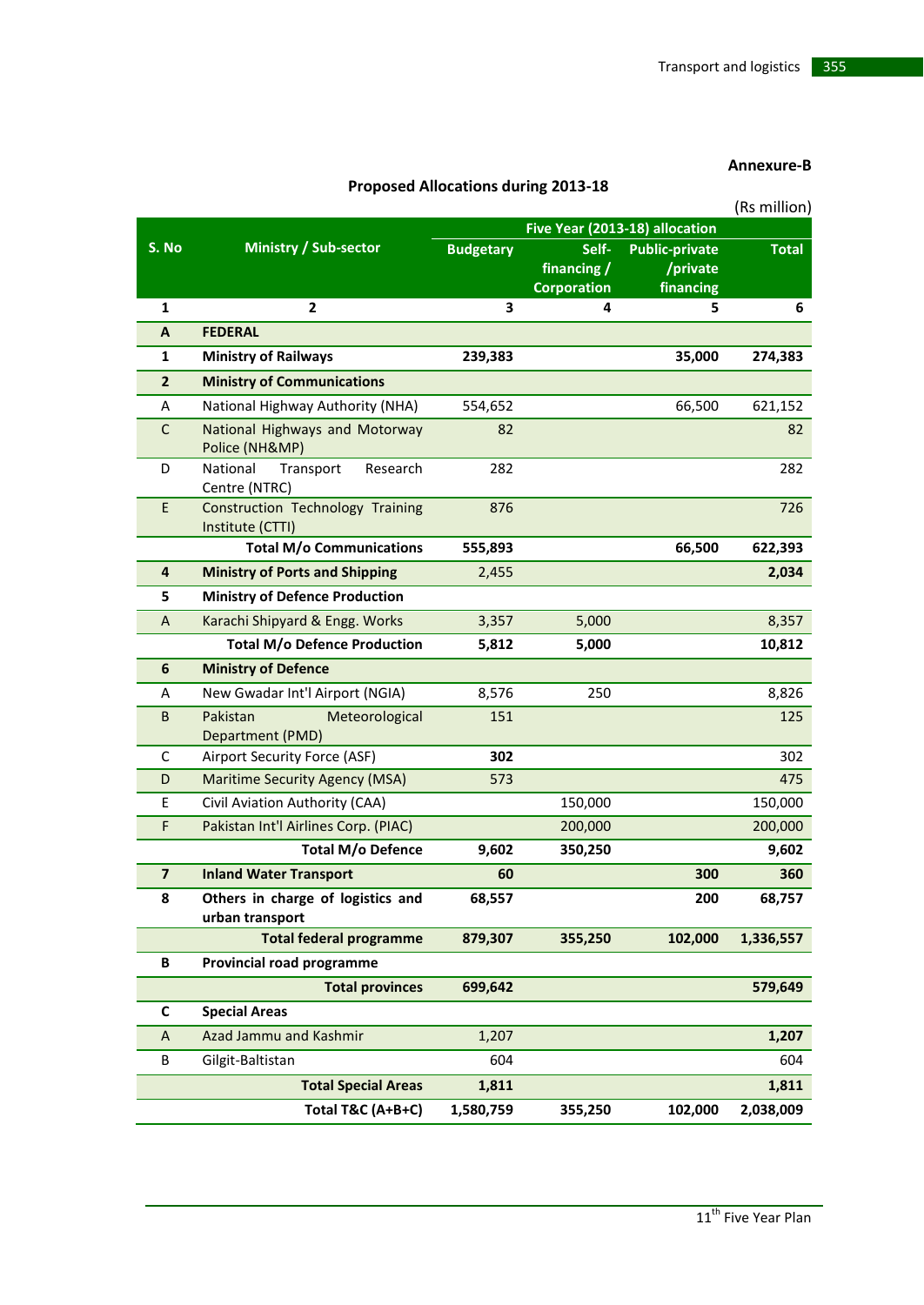#### **Annexure-B**

|                         |                                                      |                                |                         |                       | (Rs million) |  |
|-------------------------|------------------------------------------------------|--------------------------------|-------------------------|-----------------------|--------------|--|
|                         |                                                      | Five Year (2013-18) allocation |                         |                       |              |  |
| S. No                   | Ministry / Sub-sector                                | <b>Budgetary</b>               | Self-                   | <b>Public-private</b> | <b>Total</b> |  |
|                         |                                                      |                                | financing /             | /private              |              |  |
| $\mathbf{1}$            | $\overline{2}$                                       | 3                              | <b>Corporation</b><br>4 | financing<br>5        | 6            |  |
| A                       | <b>FEDERAL</b>                                       |                                |                         |                       |              |  |
|                         |                                                      |                                |                         |                       |              |  |
| 1                       | <b>Ministry of Railways</b>                          | 239,383                        |                         | 35,000                | 274,383      |  |
| $\overline{2}$          | <b>Ministry of Communications</b>                    |                                |                         |                       |              |  |
| Α                       | National Highway Authority (NHA)                     | 554,652                        |                         | 66,500                | 621,152      |  |
| $\mathsf C$             | National Highways and Motorway<br>Police (NH&MP)     | 82                             |                         |                       | 82           |  |
| D                       | National<br>Transport<br>Research<br>Centre (NTRC)   | 282                            |                         |                       | 282          |  |
| E                       | Construction Technology Training<br>Institute (CTTI) | 876                            |                         |                       | 726          |  |
|                         | <b>Total M/o Communications</b>                      | 555,893                        |                         | 66,500                | 622,393      |  |
| $\overline{4}$          | <b>Ministry of Ports and Shipping</b>                | 2,455                          |                         |                       | 2,034        |  |
| 5                       | <b>Ministry of Defence Production</b>                |                                |                         |                       |              |  |
| A                       | Karachi Shipyard & Engg. Works                       | 3,357                          | 5,000                   |                       | 8,357        |  |
|                         | <b>Total M/o Defence Production</b>                  | 5,812                          | 5,000                   |                       | 10,812       |  |
| 6                       | <b>Ministry of Defence</b>                           |                                |                         |                       |              |  |
| A                       | New Gwadar Int'l Airport (NGIA)                      | 8,576                          | 250                     |                       | 8,826        |  |
| B                       | Pakistan<br>Meteorological<br>Department (PMD)       | 151                            |                         |                       | 125          |  |
| C                       | Airport Security Force (ASF)                         | 302                            |                         |                       | 302          |  |
| D                       | <b>Maritime Security Agency (MSA)</b>                | 573                            |                         |                       | 475          |  |
| E                       | Civil Aviation Authority (CAA)                       |                                | 150,000                 |                       | 150,000      |  |
| F                       | Pakistan Int'l Airlines Corp. (PIAC)                 |                                | 200,000                 |                       | 200,000      |  |
|                         | <b>Total M/o Defence</b>                             | 9,602                          | 350,250                 |                       | 9,602        |  |
| $\overline{\mathbf{z}}$ | <b>Inland Water Transport</b>                        | 60                             |                         | 300                   | 360          |  |
| 8                       | Others in charge of logistics and<br>urban transport | 68,557                         |                         | 200                   | 68,757       |  |
|                         | <b>Total federal programme</b>                       | 879,307                        | 355,250                 | 102,000               | 1,336,557    |  |
| В                       | Provincial road programme                            |                                |                         |                       |              |  |
|                         | <b>Total provinces</b>                               | 699,642                        |                         |                       | 579,649      |  |
| C                       | <b>Special Areas</b>                                 |                                |                         |                       |              |  |
| A                       | Azad Jammu and Kashmir                               | 1,207                          |                         |                       | 1,207        |  |
| B                       | Gilgit-Baltistan                                     | 604                            |                         |                       | 604          |  |
|                         | <b>Total Special Areas</b>                           | 1,811                          |                         |                       | 1,811        |  |
|                         | Total T&C (A+B+C)                                    | 1,580,759                      | 355,250                 | 102,000               | 2,038,009    |  |
|                         |                                                      |                                |                         |                       |              |  |

# **Proposed Allocations during 2013-18**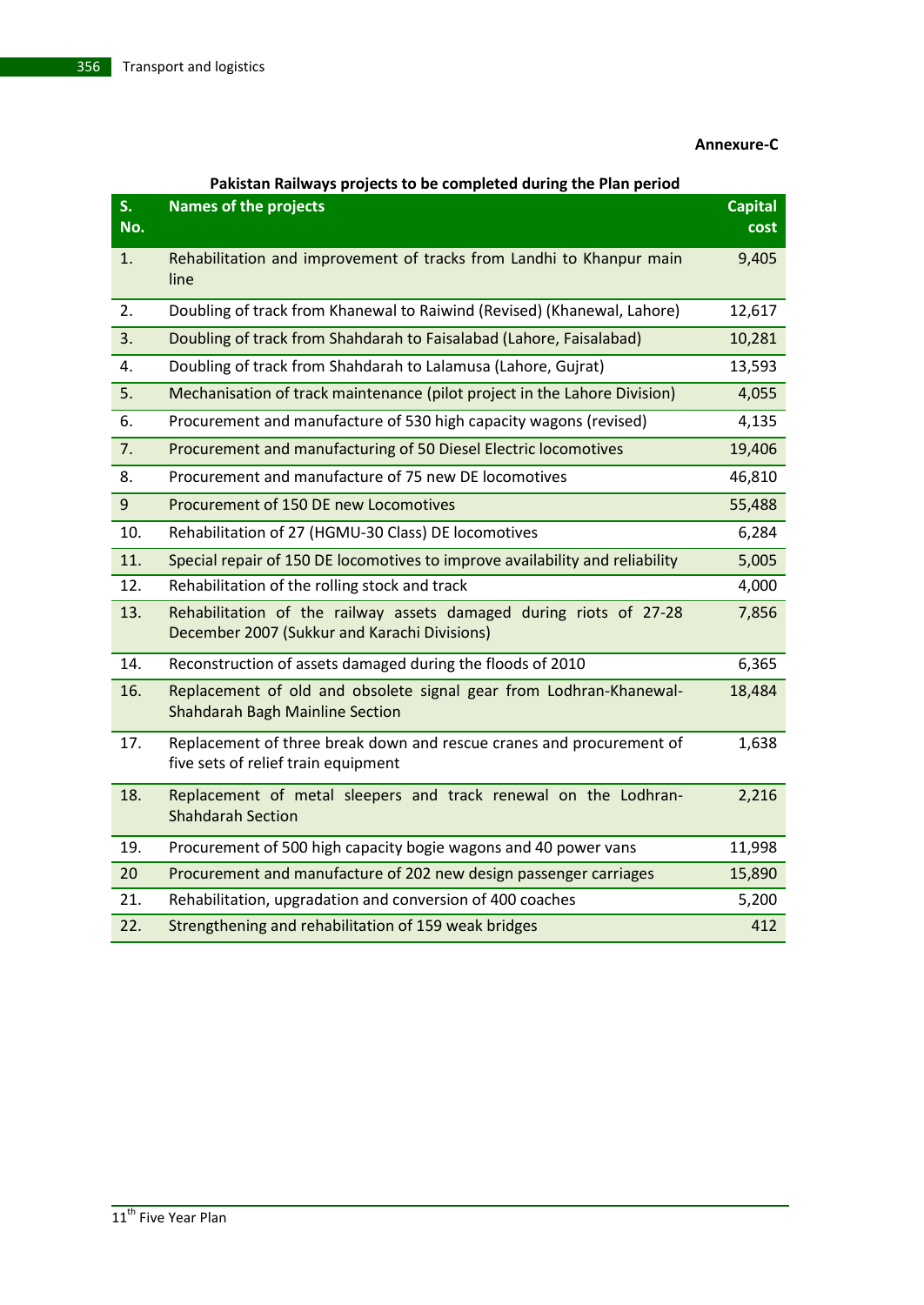#### **Annexure-C**

### **Pakistan Railways projects to be completed during the Plan period**

| S <sub>1</sub><br>No. | <b>Names of the projects</b>                                                                                       | <b>Capital</b><br>cost |
|-----------------------|--------------------------------------------------------------------------------------------------------------------|------------------------|
| 1.                    | Rehabilitation and improvement of tracks from Landhi to Khanpur main<br>line                                       | 9,405                  |
| 2.                    | Doubling of track from Khanewal to Raiwind (Revised) (Khanewal, Lahore)                                            | 12,617                 |
| 3.                    | Doubling of track from Shahdarah to Faisalabad (Lahore, Faisalabad)                                                | 10,281                 |
| 4.                    | Doubling of track from Shahdarah to Lalamusa (Lahore, Gujrat)                                                      | 13,593                 |
| 5.                    | Mechanisation of track maintenance (pilot project in the Lahore Division)                                          | 4,055                  |
| 6.                    | Procurement and manufacture of 530 high capacity wagons (revised)                                                  | 4,135                  |
| 7.                    | Procurement and manufacturing of 50 Diesel Electric locomotives                                                    | 19,406                 |
| 8.                    | Procurement and manufacture of 75 new DE locomotives                                                               | 46,810                 |
| 9                     | Procurement of 150 DE new Locomotives                                                                              | 55,488                 |
| 10.                   | Rehabilitation of 27 (HGMU-30 Class) DE locomotives                                                                | 6,284                  |
| 11.                   | Special repair of 150 DE locomotives to improve availability and reliability                                       | 5,005                  |
| 12.                   | Rehabilitation of the rolling stock and track                                                                      | 4,000                  |
| 13.                   | Rehabilitation of the railway assets damaged during riots of 27-28<br>December 2007 (Sukkur and Karachi Divisions) | 7,856                  |
| 14.                   | Reconstruction of assets damaged during the floods of 2010                                                         | 6,365                  |
| 16.                   | Replacement of old and obsolete signal gear from Lodhran-Khanewal-<br><b>Shahdarah Bagh Mainline Section</b>       | 18,484                 |
| 17.                   | Replacement of three break down and rescue cranes and procurement of<br>five sets of relief train equipment        | 1,638                  |
| 18.                   | Replacement of metal sleepers and track renewal on the Lodhran-<br><b>Shahdarah Section</b>                        | 2,216                  |
| 19.                   | Procurement of 500 high capacity bogie wagons and 40 power vans                                                    | 11,998                 |
| 20                    | Procurement and manufacture of 202 new design passenger carriages                                                  | 15,890                 |
| 21.                   | Rehabilitation, upgradation and conversion of 400 coaches                                                          | 5,200                  |
| 22.                   | Strengthening and rehabilitation of 159 weak bridges                                                               | 412                    |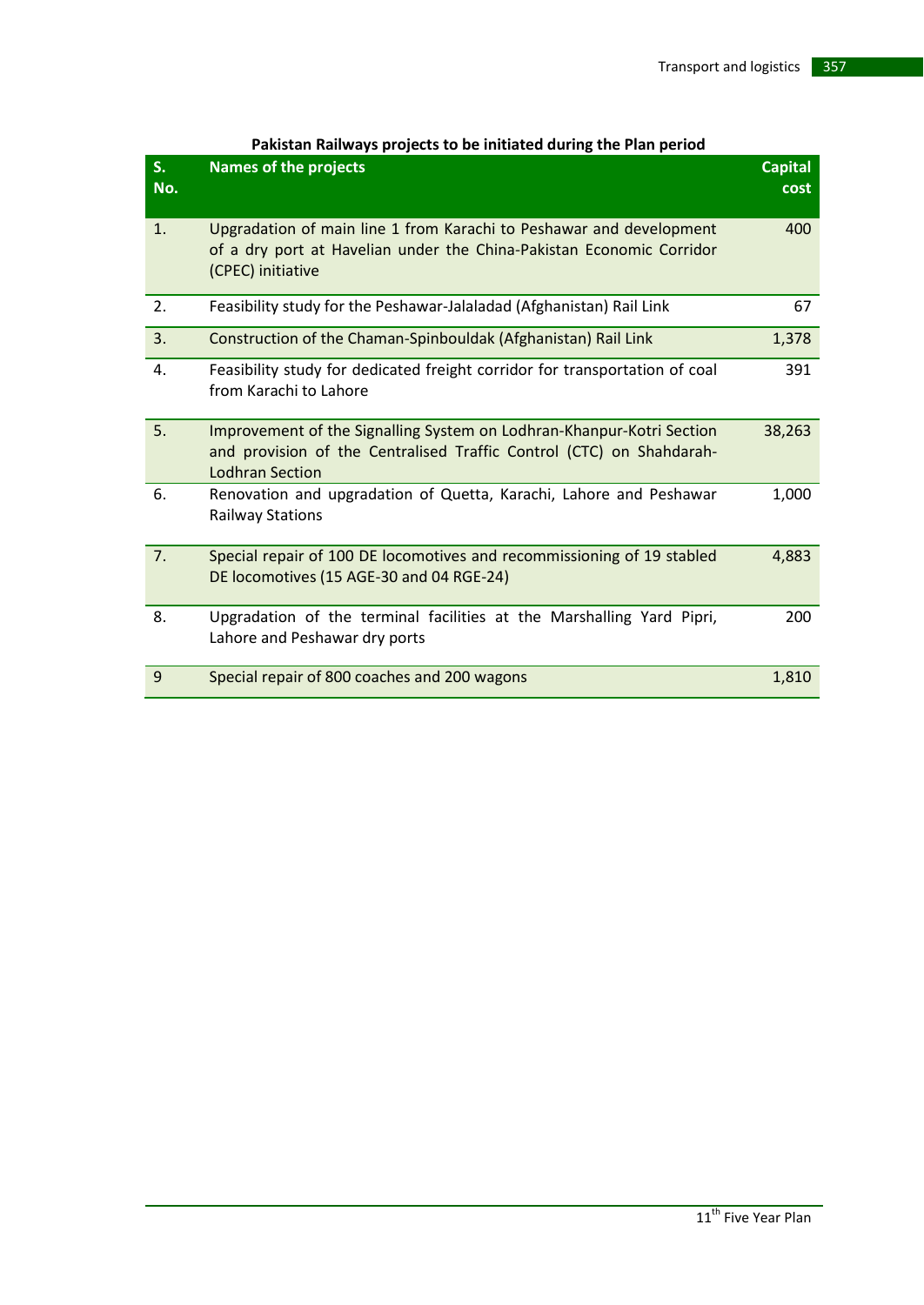| S.<br>No. | <b>Names of the projects</b>                                                                                                                                            | <b>Capital</b><br>cost |
|-----------|-------------------------------------------------------------------------------------------------------------------------------------------------------------------------|------------------------|
| 1.        | Upgradation of main line 1 from Karachi to Peshawar and development<br>of a dry port at Havelian under the China-Pakistan Economic Corridor<br>(CPEC) initiative        | 400                    |
| 2.        | Feasibility study for the Peshawar-Jalaladad (Afghanistan) Rail Link                                                                                                    | 67                     |
| 3.        | Construction of the Chaman-Spinbouldak (Afghanistan) Rail Link                                                                                                          | 1,378                  |
| 4.        | Feasibility study for dedicated freight corridor for transportation of coal<br>from Karachi to Lahore                                                                   | 391                    |
| 5.        | Improvement of the Signalling System on Lodhran-Khanpur-Kotri Section<br>and provision of the Centralised Traffic Control (CTC) on Shahdarah-<br><b>Lodhran Section</b> | 38,263                 |
| 6.        | Renovation and upgradation of Quetta, Karachi, Lahore and Peshawar<br><b>Railway Stations</b>                                                                           | 1,000                  |
| 7.        | Special repair of 100 DE locomotives and recommissioning of 19 stabled<br>DE locomotives (15 AGE-30 and 04 RGE-24)                                                      | 4,883                  |
| 8.        | Upgradation of the terminal facilities at the Marshalling Yard Pipri,<br>Lahore and Peshawar dry ports                                                                  | 200                    |
| 9         | Special repair of 800 coaches and 200 wagons                                                                                                                            | 1,810                  |

#### **Pakistan Railways projects to be initiated during the Plan period**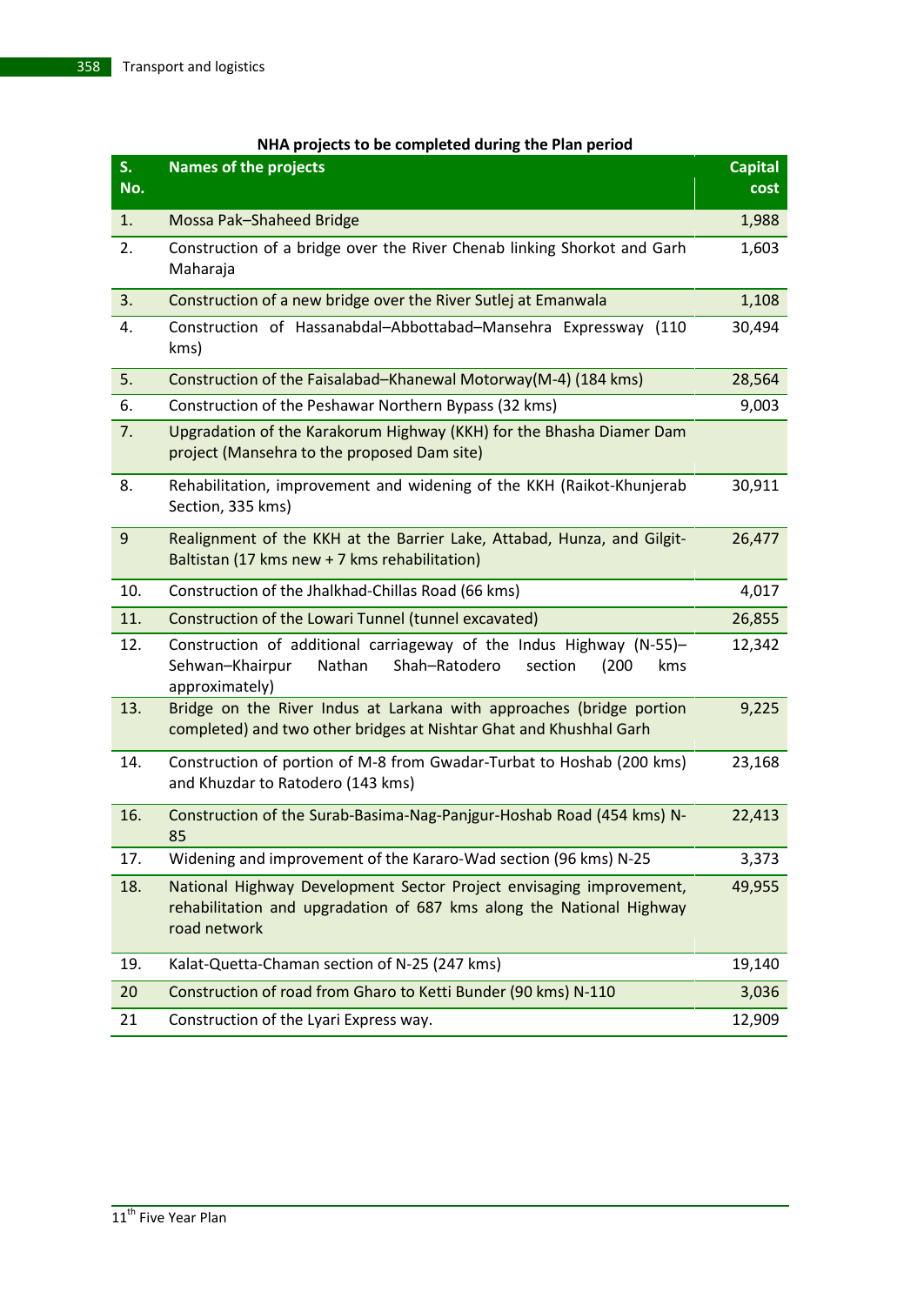| NHA projects to be completed during the Plan period |  |  |  |
|-----------------------------------------------------|--|--|--|
|-----------------------------------------------------|--|--|--|

| S.<br>No.      | <b>Names of the projects</b>                                                                                                                                   | <b>Capital</b><br>cost |
|----------------|----------------------------------------------------------------------------------------------------------------------------------------------------------------|------------------------|
| 1.             | Mossa Pak-Shaheed Bridge                                                                                                                                       | 1,988                  |
| 2.             | Construction of a bridge over the River Chenab linking Shorkot and Garh<br>Maharaja                                                                            | 1,603                  |
| 3.             | Construction of a new bridge over the River Sutlej at Emanwala                                                                                                 | 1,108                  |
| 4.             | Construction of Hassanabdal-Abbottabad-Mansehra Expressway (110<br>kms)                                                                                        | 30,494                 |
| 5.             | Construction of the Faisalabad-Khanewal Motorway(M-4) (184 kms)                                                                                                | 28,564                 |
| 6.             | Construction of the Peshawar Northern Bypass (32 kms)                                                                                                          | 9,003                  |
| 7.             | Upgradation of the Karakorum Highway (KKH) for the Bhasha Diamer Dam<br>project (Mansehra to the proposed Dam site)                                            |                        |
| 8.             | Rehabilitation, improvement and widening of the KKH (Raikot-Khunjerab<br>Section, 335 kms)                                                                     | 30,911                 |
| $\overline{9}$ | Realignment of the KKH at the Barrier Lake, Attabad, Hunza, and Gilgit-<br>Baltistan (17 kms new + 7 kms rehabilitation)                                       | 26,477                 |
| 10.            | Construction of the Jhalkhad-Chillas Road (66 kms)                                                                                                             | 4,017                  |
| 11.            | Construction of the Lowari Tunnel (tunnel excavated)                                                                                                           | 26,855                 |
| 12.            | Construction of additional carriageway of the Indus Highway (N-55)-<br>Sehwan-Khairpur<br>Nathan<br>Shah-Ratodero<br>section<br>(200)<br>kms<br>approximately) | 12,342                 |
| 13.            | Bridge on the River Indus at Larkana with approaches (bridge portion<br>completed) and two other bridges at Nishtar Ghat and Khushhal Garh                     | 9,225                  |
| 14.            | Construction of portion of M-8 from Gwadar-Turbat to Hoshab (200 kms)<br>and Khuzdar to Ratodero (143 kms)                                                     | 23,168                 |
| 16.            | Construction of the Surab-Basima-Nag-Panjgur-Hoshab Road (454 kms) N-<br>85                                                                                    | 22,413                 |
| 17.            | Widening and improvement of the Kararo-Wad section (96 kms) N-25                                                                                               | 3,373                  |
| 18.            | National Highway Development Sector Project envisaging improvement,<br>rehabilitation and upgradation of 687 kms along the National Highway<br>road network    | 49,955                 |
| 19.            | Kalat-Quetta-Chaman section of N-25 (247 kms)                                                                                                                  | 19,140                 |
| 20             | Construction of road from Gharo to Ketti Bunder (90 kms) N-110                                                                                                 | 3,036                  |
| 21             | Construction of the Lyari Express way.                                                                                                                         | 12,909                 |